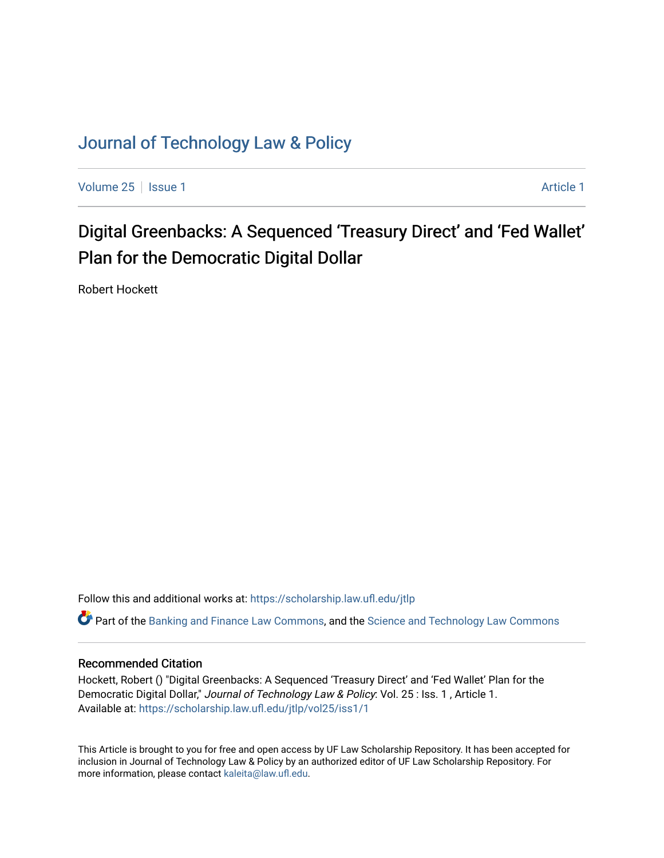## [Journal of Technology Law & Policy](https://scholarship.law.ufl.edu/jtlp)

[Volume 25](https://scholarship.law.ufl.edu/jtlp/vol25) | [Issue 1](https://scholarship.law.ufl.edu/jtlp/vol25/iss1) [Article 1](https://scholarship.law.ufl.edu/jtlp/vol25/iss1/1) Article 1 Article 1 Article 1 Article 1 Article 1 Article 1 Article 1

# Digital Greenbacks: A Sequenced 'Treasury Direct' and 'Fed Wallet' Plan for the Democratic Digital Dollar

Robert Hockett

Follow this and additional works at: [https://scholarship.law.ufl.edu/jtlp](https://scholarship.law.ufl.edu/jtlp?utm_source=scholarship.law.ufl.edu%2Fjtlp%2Fvol25%2Fiss1%2F1&utm_medium=PDF&utm_campaign=PDFCoverPages) 

 $\bullet$  Part of the [Banking and Finance Law Commons,](http://network.bepress.com/hgg/discipline/833?utm_source=scholarship.law.ufl.edu%2Fjtlp%2Fvol25%2Fiss1%2F1&utm_medium=PDF&utm_campaign=PDFCoverPages) and the [Science and Technology Law Commons](http://network.bepress.com/hgg/discipline/875?utm_source=scholarship.law.ufl.edu%2Fjtlp%2Fvol25%2Fiss1%2F1&utm_medium=PDF&utm_campaign=PDFCoverPages)

### Recommended Citation

Hockett, Robert () "Digital Greenbacks: A Sequenced 'Treasury Direct' and 'Fed Wallet' Plan for the Democratic Digital Dollar," Journal of Technology Law & Policy: Vol. 25 : Iss. 1, Article 1. Available at: [https://scholarship.law.ufl.edu/jtlp/vol25/iss1/1](https://scholarship.law.ufl.edu/jtlp/vol25/iss1/1?utm_source=scholarship.law.ufl.edu%2Fjtlp%2Fvol25%2Fiss1%2F1&utm_medium=PDF&utm_campaign=PDFCoverPages) 

This Article is brought to you for free and open access by UF Law Scholarship Repository. It has been accepted for inclusion in Journal of Technology Law & Policy by an authorized editor of UF Law Scholarship Repository. For more information, please contact [kaleita@law.ufl.edu.](mailto:kaleita@law.ufl.edu)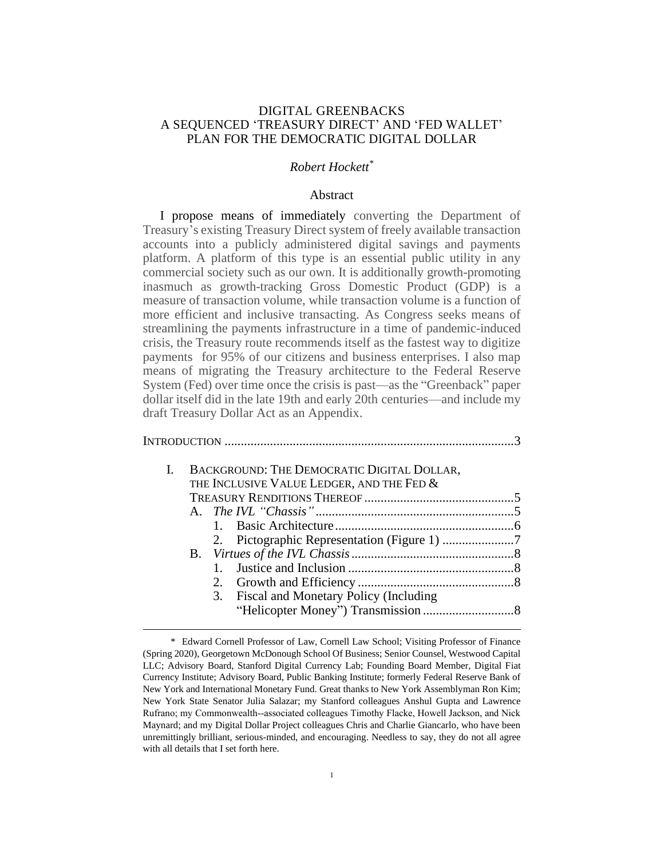### DIGITAL GREENBACKS A SEQUENCED 'TREASURY DIRECT' AND 'FED WALLET' PLAN FOR THE DEMOCRATIC DIGITAL DOLLAR

### *Robert Hockett\**

### Abstract

I propose means of immediately converting the Department of Treasury's existing Treasury Direct system of freely available transaction accounts into a publicly administered digital savings and payments platform. A platform of this type is an essential public utility in any commercial society such as our own. It is additionally growth-promoting inasmuch as growth-tracking Gross Domestic Product (GDP) is a measure of transaction volume, while transaction volume is a function of more efficient and inclusive transacting. As Congress seeks means of streamlining the payments infrastructure in a time of pandemic-induced crisis, the Treasury route recommends itself as the fastest way to digitize payments for 95% of our citizens and business enterprises. I also map means of migrating the Treasury architecture to the Federal Reserve System (Fed) over time once the crisis is past—as the "Greenback" paper dollar itself did in the late 19th and early 20th centuries—and include my draft Treasury Dollar Act as an Appendix.

|  | BACKGROUND: THE DEMOCRATIC DIGITAL DOLLAR,<br>THE INCLUSIVE VALUE LEDGER, AND THE FED & |  |
|--|-----------------------------------------------------------------------------------------|--|
|  |                                                                                         |  |
|  |                                                                                         |  |
|  |                                                                                         |  |
|  |                                                                                         |  |
|  |                                                                                         |  |
|  |                                                                                         |  |
|  | 2.                                                                                      |  |
|  | Fiscal and Monetary Policy (Including<br>3.                                             |  |
|  |                                                                                         |  |

<sup>\*</sup> Edward Cornell Professor of Law, Cornell Law School; Visiting Professor of Finance (Spring 2020), Georgetown McDonough School Of Business; Senior Counsel, Westwood Capital LLC; Advisory Board, Stanford Digital Currency Lab; Founding Board Member, Digital Fiat Currency Institute; Advisory Board, Public Banking Institute; formerly Federal Reserve Bank of New York and International Monetary Fund. Great thanks to New York Assemblyman Ron Kim; New York State Senator Julia Salazar; my Stanford colleagues Anshul Gupta and Lawrence Rufrano; my Commonwealth‐associated colleagues Timothy Flacke, Howell Jackson, and Nick Maynard; and my Digital Dollar Project colleagues Chris and Charlie Giancarlo, who have been unremittingly brilliant, serious-minded, and encouraging. Needless to say, they do not all agree with all details that I set forth here.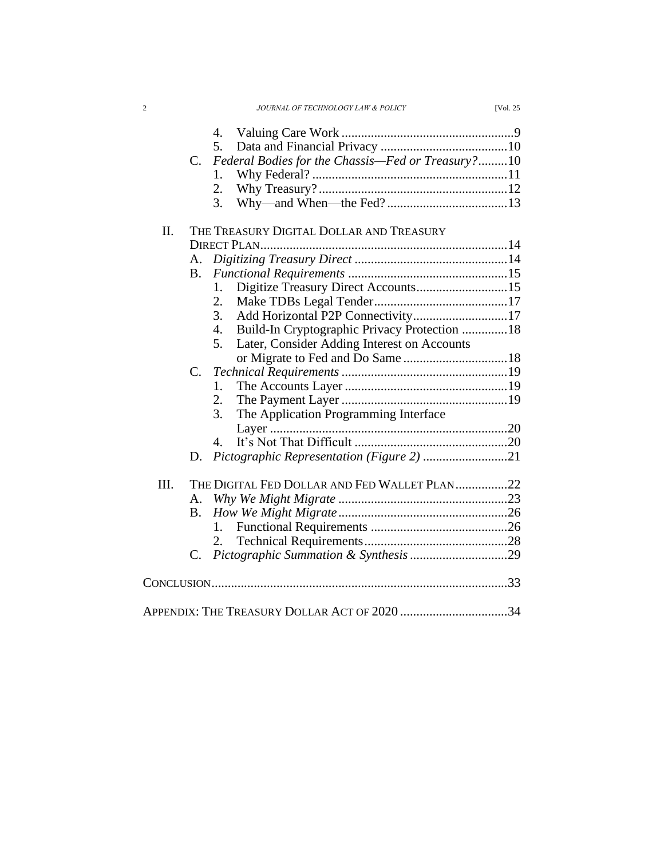| JOURNAL OF TECHNOLOGY LAW & POLICY | <b>IVol. 25</b> |
|------------------------------------|-----------------|

|  | C. Federal Bodies for the Chassis—Fed or Treasury?10 |  |
|--|------------------------------------------------------|--|
|  |                                                      |  |
|  |                                                      |  |
|  |                                                      |  |
|  |                                                      |  |

| Π.   | THE TREASURY DIGITAL DOLLAR AND TREASURY |                                                        |  |
|------|------------------------------------------|--------------------------------------------------------|--|
|      |                                          |                                                        |  |
|      | A.                                       |                                                        |  |
|      | B.                                       |                                                        |  |
|      |                                          | Digitize Treasury Direct Accounts15<br>$1_{\cdot}$     |  |
|      |                                          | 2.                                                     |  |
|      |                                          | 3.                                                     |  |
|      |                                          | Build-In Cryptographic Privacy Protection 18<br>4.     |  |
|      |                                          | Later, Consider Adding Interest on Accounts<br>$5_{-}$ |  |
|      |                                          |                                                        |  |
|      |                                          |                                                        |  |
|      |                                          | 1                                                      |  |
|      |                                          | 2.                                                     |  |
|      |                                          | The Application Programming Interface<br>3.            |  |
|      |                                          |                                                        |  |
|      |                                          | 4.                                                     |  |
|      | D.                                       |                                                        |  |
| III. |                                          | THE DIGITAL FED DOLLAR AND FED WALLET PLAN22           |  |
|      |                                          |                                                        |  |
|      | A.                                       |                                                        |  |
|      | B.                                       | 1.                                                     |  |
|      |                                          |                                                        |  |
|      |                                          | 2.                                                     |  |
|      | $C_{\cdot}$                              |                                                        |  |
|      |                                          |                                                        |  |
|      |                                          |                                                        |  |
|      |                                          | APPENDIX: THE TREASURY DOLLAR ACT OF 2020 34           |  |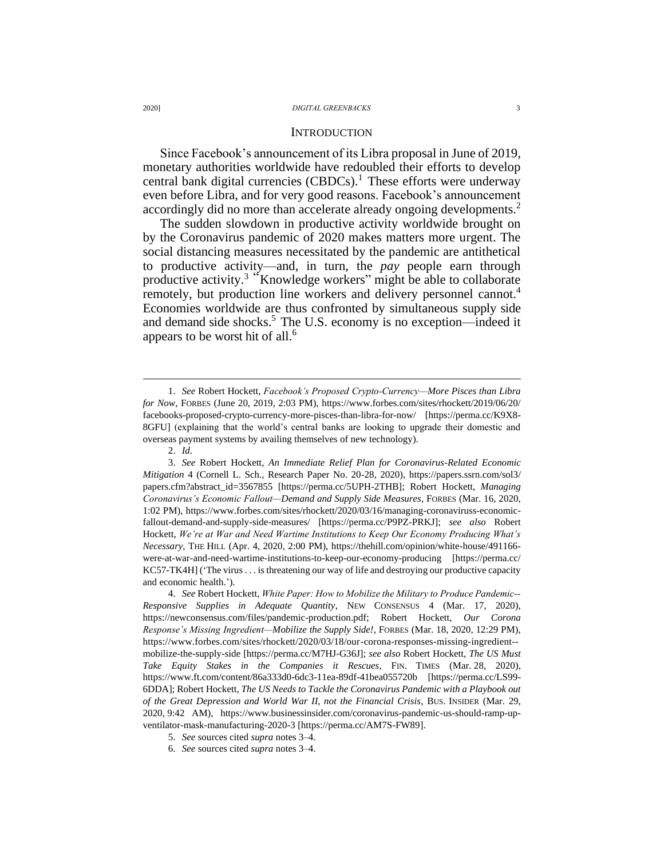#### **INTRODUCTION**

Since Facebook's announcement of its Libra proposal in June of 2019, monetary authorities worldwide have redoubled their efforts to develop central bank digital currencies  $(CBDCs)$ .<sup>1</sup> These efforts were underway even before Libra, and for very good reasons. Facebook's announcement accordingly did no more than accelerate already ongoing developments. 2

The sudden slowdown in productive activity worldwide brought on by the Coronavirus pandemic of 2020 makes matters more urgent. The social distancing measures necessitated by the pandemic are antithetical to productive activity—and, in turn, the *pay* people earn through productive activity.<sup>3</sup> "Knowledge workers" might be able to collaborate remotely, but production line workers and delivery personnel cannot.<sup>4</sup> Economies worldwide are thus confronted by simultaneous supply side and demand side shocks. <sup>5</sup> The U.S. economy is no exception—indeed it appears to be worst hit of all. 6

<sup>1.</sup> See Robert Hockett, *Facebook's Proposed Crypto-Currency—More Pisces than Libra for Now*, FORBES (June 20, 2019, 2:03 PM), https://www.forbes.com/sites/rhockett/2019/06/20/ facebooks-proposed-crypto-currency-more-pisces-than-libra-for-now/ [https://perma.cc/K9X8- 8GFU] (explaining that the world's central banks are looking to upgrade their domestic and overseas payment systems by availing themselves of new technology).

<sup>2.</sup> *Id.*

<sup>3.</sup> *See* Robert Hockett*, An Immediate Relief Plan for Coronavirus-Related Economic Mitigation* 4 (Cornell L. Sch., Research Paper No. 20-28, 2020), https://papers.ssrn.com/sol3/ papers.cfm?abstract\_id=3567855 [https://perma.cc/5UPH-2THB]; Robert Hockett, *Managing Coronavirus's Economic Fallout—Demand and Supply Side Measures*, FORBES (Mar. 16, 2020, 1:02 PM), https://www.forbes.com/sites/rhockett/2020/03/16/managing-coronaviruss-economicfallout-demand-and-supply-side-measures/ [https://perma.cc/P9PZ-PRKJ]; *see also* Robert Hockett, *We're at War and Need Wartime Institutions to Keep Our Economy Producing What's Necessary*, THE HILL (Apr. 4, 2020, 2:00 PM), https://thehill.com/opinion/white-house/491166 were-at-war-and-need-wartime-institutions-to-keep-our-economy-producing [https://perma.cc/ KC57-TK4H] ('The virus . . . is threatening our way of life and destroying our productive capacity and economic health.').

<sup>4.</sup> *See* Robert Hockett, *White Paper: How to Mobilize the Military to Produce Pandemic‐ Responsive Supplies in Adequate Quantity*, NEW CONSENSUS 4 (Mar. 17, 2020), https://newconsensus.com/files/pandemic-production.pdf; Robert Hockett, *Our Corona Response's Missing Ingredient—Mobilize the Supply Side!*, FORBES (Mar. 18, 2020, 12:29 PM), https://www.forbes.com/sites/rhockett/2020/03/18/our-corona-responses-missing-ingredient- mobilize-the-supply-side [https://perma.cc/M7HJ-G36J]; *see also* Robert Hockett, *The US Must Take Equity Stakes in the Companies it Rescues*, FIN. TIMES (Mar. 28, 2020), https://www.ft.com/content/86a333d0-6dc3-11ea-89df-41bea055720b [https://perma.cc/LS99- 6DDA]; Robert Hockett, *The US Needs to Tackle the Coronavirus Pandemic with a Playbook out of the Great Depression and World War II, not the Financial Crisis*, BUS. INSIDER (Mar. 29, 2020, 9:42 AM), https://www.businessinsider.com/coronavirus-pandemic-us-should-ramp-upventilator-mask-manufacturing-2020-3 [https://perma.cc/AM7S-FW89].

<sup>5.</sup> *See* sources cited *supra* notes 3–4.

<sup>6.</sup> *See* sources cited *supra* notes 3–4.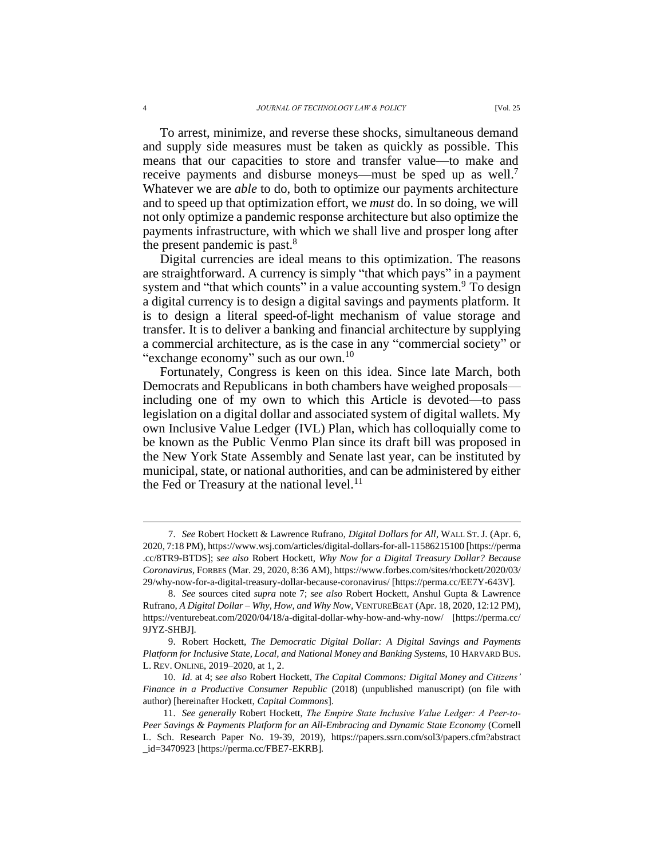To arrest, minimize, and reverse these shocks, simultaneous demand and supply side measures must be taken as quickly as possible. This means that our capacities to store and transfer value—to make and receive payments and disburse moneys—must be sped up as well.<sup>7</sup> Whatever we are *able* to do, both to optimize our payments architecture and to speed up that optimization effort, we *must* do. In so doing, we will not only optimize a pandemic response architecture but also optimize the payments infrastructure, with which we shall live and prosper long after the present pandemic is past.<sup>8</sup>

Digital currencies are ideal means to this optimization. The reasons are straightforward. A currency is simply "that which pays" in a payment system and "that which counts" in a value accounting system.<sup>9</sup> To design a digital currency is to design a digital savings and payments platform. It is to design a literal speed-of-light mechanism of value storage and transfer. It is to deliver a banking and financial architecture by supplying a commercial architecture, as is the case in any "commercial society" or "exchange economy" such as our own.<sup>10</sup>

Fortunately, Congress is keen on this idea. Since late March, both Democrats and Republicans in both chambers have weighed proposals including one of my own to which this Article is devoted—to pass legislation on a digital dollar and associated system of digital wallets. My own Inclusive Value Ledger (IVL) Plan, which has colloquially come to be known as the Public Venmo Plan since its draft bill was proposed in the New York State Assembly and Senate last year, can be instituted by municipal, state, or national authorities, and can be administered by either the Fed or Treasury at the national level.<sup>11</sup>

<sup>7.</sup> *See* Robert Hockett & Lawrence Rufrano, *Digital Dollars for All*, WALL ST. J. (Apr. 6, 2020, 7:18 PM), https://www.wsj.com/articles/digital-dollars-for-all-11586215100 [https://perma .cc/8TR9-BTDS]; *see also* Robert Hockett, *Why Now for a Digital Treasury Dollar? Because Coronavirus*, FORBES (Mar. 29, 2020, 8:36 AM), https://www.forbes.com/sites/rhockett/2020/03/ 29/why-now-for-a-digital-treasury-dollar-because-coronavirus/ [https://perma.cc/EE7Y-643V].

<sup>8.</sup> *See* sources cited *supra* note 7; *see also* Robert Hockett, Anshul Gupta & Lawrence Rufrano, *A Digital Dollar – Why, How, and Why Now*, VENTUREBEAT (Apr. 18, 2020, 12:12 PM), https://venturebeat.com/2020/04/18/a-digital-dollar-why-how-and-why-now/ [https://perma.cc/ 9JYZ-SHBJ].

<sup>9.</sup> Robert Hockett, *The Democratic Digital Dollar: A Digital Savings and Payments Platform for Inclusive State, Local, and National Money and Banking Systems*, 10 HARVARD BUS. L. REV. ONLINE, 2019–2020, at 1, 2.

<sup>10.</sup> *Id.* at 4; s*ee also* Robert Hockett, *The Capital Commons: Digital Money and Citizens' Finance in a Productive Consumer Republic* (2018) (unpublished manuscript) (on file with author) [hereinafter Hockett, *Capital Commons*].

<sup>11.</sup> *See generally* Robert Hockett, *The Empire State Inclusive Value Ledger: A Peer‐to‐ Peer Savings & Payments Platform for an All-Embracing and Dynamic State Economy* (Cornell L. Sch. Research Paper No. 19-39, 2019), https://papers.ssrn.com/sol3/papers.cfm?abstract \_id=3470923 [https://perma.cc/FBE7-EKRB]*.*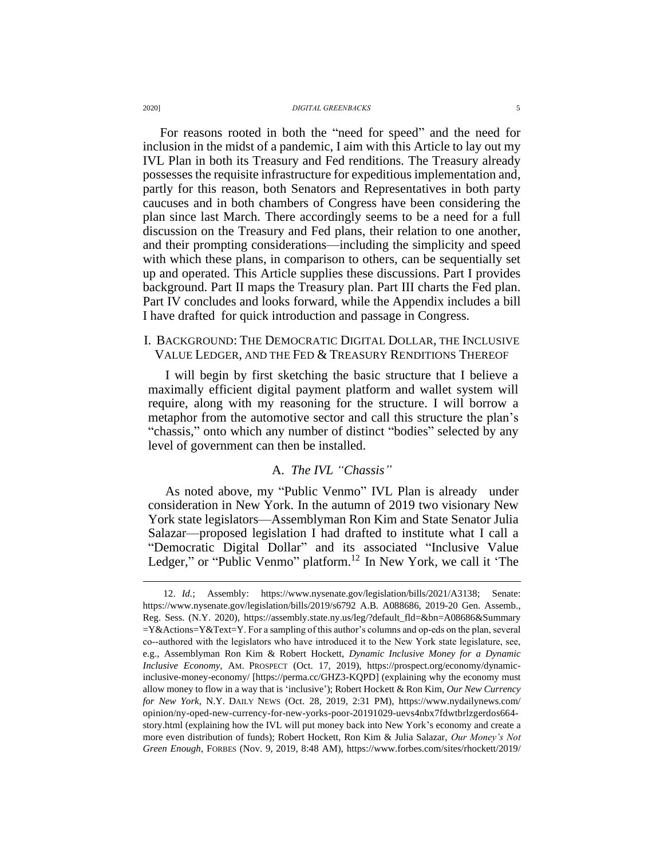For reasons rooted in both the "need for speed" and the need for inclusion in the midst of a pandemic, I aim with this Article to lay out my IVL Plan in both its Treasury and Fed renditions. The Treasury already possesses the requisite infrastructure for expeditious implementation and, partly for this reason, both Senators and Representatives in both party caucuses and in both chambers of Congress have been considering the plan since last March. There accordingly seems to be a need for a full discussion on the Treasury and Fed plans, their relation to one another, and their prompting considerations—including the simplicity and speed with which these plans, in comparison to others, can be sequentially set up and operated. This Article supplies these discussions. Part I provides background. Part II maps the Treasury plan. Part III charts the Fed plan. Part IV concludes and looks forward, while the Appendix includes a bill I have drafted for quick introduction and passage in Congress.

### I. BACKGROUND: THE DEMOCRATIC DIGITAL DOLLAR, THE INCLUSIVE VALUE LEDGER, AND THE FED & TREASURY RENDITIONS THEREOF

I will begin by first sketching the basic structure that I believe a maximally efficient digital payment platform and wallet system will require, along with my reasoning for the structure. I will borrow a metaphor from the automotive sector and call this structure the plan's "chassis," onto which any number of distinct "bodies" selected by any level of government can then be installed.

#### A. *The IVL "Chassis"*

As noted above, my "Public Venmo" IVL Plan is already under consideration in New York. In the autumn of 2019 two visionary New York state legislators—Assemblyman Ron Kim and State Senator Julia Salazar—proposed legislation I had drafted to institute what I call a "Democratic Digital Dollar" and its associated "Inclusive Value Ledger," or "Public Venmo" platform.<sup>12</sup> In New York, we call it 'The

<sup>12.</sup> *Id.*; Assembly: https://www.nysenate.gov/legislation/bills/2021/A3138; Senate: https://www.nysenate.gov/legislation/bills/2019/s6792 A.B. A088686, 2019-20 Gen. Assemb., Reg. Sess. (N.Y. 2020), https://assembly.state.ny.us/leg/?default\_fld=&bn=A08686&Summary  $=Y&Actions=Y&Text=Y$ . For a sampling of this author's columns and op-eds on the plan, several co--authored with the legislators who have introduced it to the New York state legislature, see, e.g., Assemblyman Ron Kim & Robert Hockett, *Dynamic Inclusive Money for a Dynamic Inclusive Economy*, AM. PROSPECT (Oct. 17, 2019), https://prospect.org/economy/dynamicinclusive-money-economy/ [https://perma.cc/GHZ3-KQPD] (explaining why the economy must allow money to flow in a way that is 'inclusive'); Robert Hockett & Ron Kim, *Our New Currency for New York*, N.Y. DAILY NEWS (Oct. 28, 2019, 2:31 PM), https://www.nydailynews.com/ opinion/ny-oped-new-currency-for-new-yorks-poor-20191029-uevs4nbx7fdwtbrlzgerdos664 story.html (explaining how the IVL will put money back into New York's economy and create a more even distribution of funds); Robert Hockett, Ron Kim & Julia Salazar, *Our Money's Not Green Enough*, FORBES (Nov. 9, 2019, 8:48 AM), https://www.forbes.com/sites/rhockett/2019/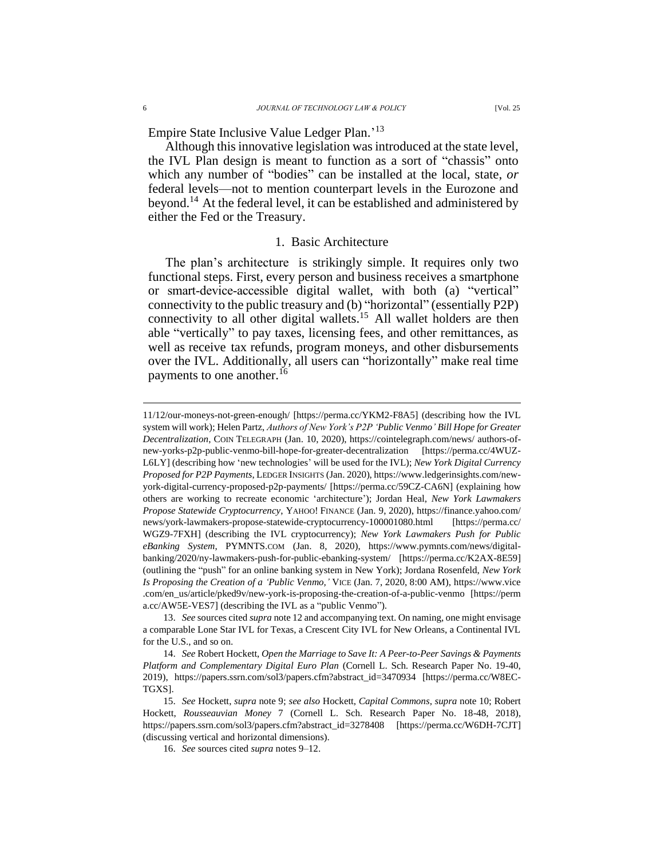Empire State Inclusive Value Ledger Plan.' 13

Although this innovative legislation was introduced at the state level, the IVL Plan design is meant to function as a sort of "chassis" onto which any number of "bodies" can be installed at the local, state, *or* federal levels—not to mention counterpart levels in the Eurozone and beyond.<sup>14</sup> At the federal level, it can be established and administered by either the Fed or the Treasury.

#### 1. Basic Architecture

The plan's architecture is strikingly simple. It requires only two functional steps. First, every person and business receives a smartphone or smart‐device‐accessible digital wallet, with both (a) "vertical" connectivity to the public treasury and (b) "horizontal" (essentially P2P) connectivity to all other digital wallets.<sup>15</sup> All wallet holders are then able "vertically" to pay taxes, licensing fees, and other remittances, as well as receive tax refunds, program moneys, and other disbursements over the IVL. Additionally, all users can "horizontally" make real time payments to one another.<sup>16</sup>

<sup>11/12/</sup>our-moneys-not-green-enough/ [https://perma.cc/YKM2-F8A5] (describing how the IVL system will work); Helen Partz, *Authors of New York's P2P 'Public Venmo' Bill Hope for Greater Decentralization*, COIN TELEGRAPH (Jan. 10, 2020), https://cointelegraph.com/news/ authors-ofnew-yorks-p2p-public-venmo-bill-hope-for-greater-decentralization [https://perma.cc/4WUZ-L6LY] (describing how 'new technologies' will be used for the IVL); *New York Digital Currency Proposed for P2P Payments*, LEDGER INSIGHTS (Jan. 2020), https://www.ledgerinsights.com/newyork-digital-currency-proposed-p2p-payments/ [https://perma.cc/59CZ-CA6N] (explaining how others are working to recreate economic 'architecture'); Jordan Heal, *New York Lawmakers Propose Statewide Cryptocurrency*, YAHOO! FINANCE (Jan. 9, 2020), https://finance.yahoo.com/ news/york-lawmakers-propose-statewide-cryptocurrency-100001080.html [https://perma.cc/ WGZ9-7FXH] (describing the IVL cryptocurrency); *New York Lawmakers Push for Public eBanking System*, PYMNTS.COM (Jan. 8, 2020), https://www.pymnts.com/news/digitalbanking/2020/ny-lawmakers-push-for-public-ebanking-system/ [https://perma.cc/K2AX-8E59] (outlining the "push" for an online banking system in New York); Jordana Rosenfeld, *New York Is Proposing the Creation of a 'Public Venmo,'* VICE (Jan. 7, 2020, 8:00 AM), https://www.vice .com/en\_us/article/pked9v/new-york-is-proposing-the-creation-of-a-public-venmo [https://perm a.cc/AW5E-VES7] (describing the IVL as a "public Venmo").

<sup>13.</sup> *See* sources cited *supra* note 12 and accompanying text. On naming, one might envisage a comparable Lone Star IVL for Texas, a Crescent City IVL for New Orleans, a Continental IVL for the U.S., and so on.

<sup>14.</sup> *See* Robert Hockett, *Open the Marriage to Save It: A Peer-to-Peer Savings & Payments Platform and Complementary Digital Euro Plan* (Cornell L. Sch. Research Paper No. 19-40, 2019), https://papers.ssrn.com/sol3/papers.cfm?abstract\_id=3470934 [https://perma.cc/W8EC-TGXS].

<sup>15.</sup> *See* Hockett, *supra* note 9; *see also* Hockett, *Capital Commons*, *supra* note 10; Robert Hockett, *Rousseauvian Money* 7 (Cornell L. Sch. Research Paper No. 18-48, 2018), https://papers.ssrn.com/sol3/papers.cfm?abstract\_id=3278408 [https://perma.cc/W6DH-7CJT] (discussing vertical and horizontal dimensions).

<sup>16.</sup> *See* sources cited *supra* notes 9–12.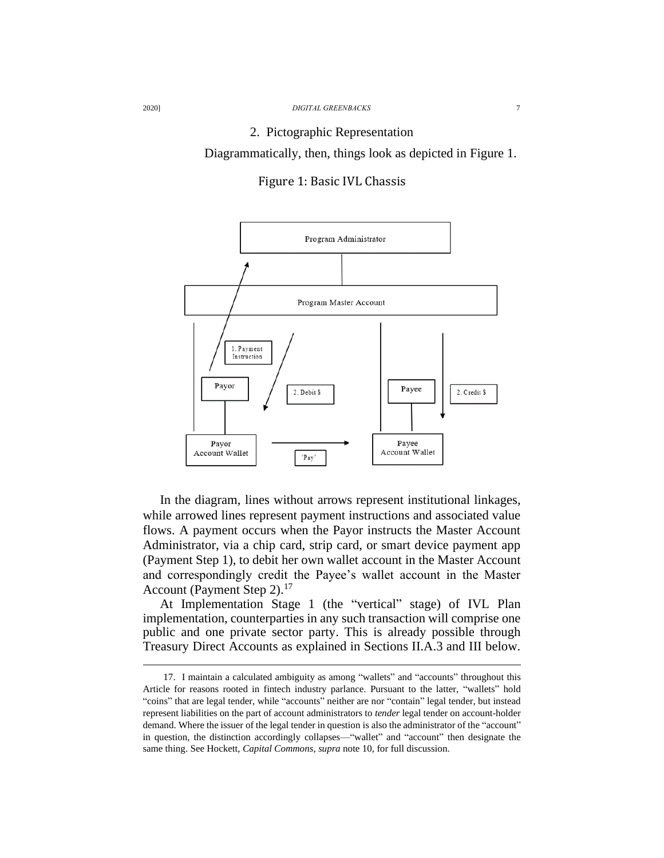#### 2. Pictographic Representation

Diagrammatically, then, things look as depicted in Figure 1.

Figure 1: Basic IVL Chassis



In the diagram, lines without arrows represent institutional linkages, while arrowed lines represent payment instructions and associated value flows. A payment occurs when the Payor instructs the Master Account Administrator, via a chip card, strip card, or smart device payment app (Payment Step 1), to debit her own wallet account in the Master Account and correspondingly credit the Payee's wallet account in the Master Account (Payment Step 2).<sup>17</sup>

At Implementation Stage 1 (the "vertical" stage) of IVL Plan implementation, counterparties in any such transaction will comprise one public and one private sector party. This is already possible through Treasury Direct Accounts as explained in Sections II.A.3 and III below.

<sup>17.</sup> I maintain a calculated ambiguity as among "wallets" and "accounts" throughout this Article for reasons rooted in fintech industry parlance. Pursuant to the latter, "wallets" hold "coins" that are legal tender, while "accounts" neither are nor "contain" legal tender, but instead represent liabilities on the part of account administrators to *tender* legal tender on account-holder demand. Where the issuer of the legal tender in question is also the administrator of the "account" in question, the distinction accordingly collapses—"wallet" and "account" then designate the same thing. See Hockett, *Capital Commons*, *supra* note 10, for full discussion.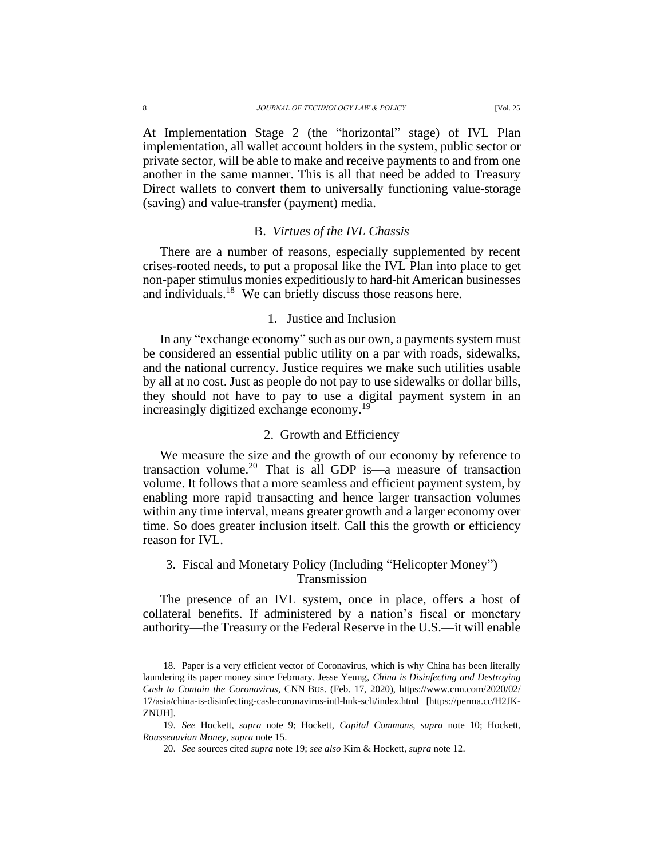At Implementation Stage 2 (the "horizontal" stage) of IVL Plan implementation, all wallet account holders in the system, public sector or private sector, will be able to make and receive payments to and from one another in the same manner. This is all that need be added to Treasury Direct wallets to convert them to universally functioning value-storage (saving) and value-transfer (payment) media.

#### B. *Virtues of the IVL Chassis*

There are a number of reasons, especially supplemented by recent crises-rooted needs, to put a proposal like the IVL Plan into place to get non-paper stimulus monies expeditiously to hard-hit American businesses and individuals.<sup>18</sup> We can briefly discuss those reasons here.

### 1. Justice and Inclusion

In any "exchange economy" such as our own, a payments system must be considered an essential public utility on a par with roads, sidewalks, and the national currency. Justice requires we make such utilities usable by all at no cost. Just as people do not pay to use sidewalks or dollar bills, they should not have to pay to use a digital payment system in an increasingly digitized exchange economy.<sup>19</sup>

### 2. Growth and Efficiency

We measure the size and the growth of our economy by reference to transaction volume.<sup>20</sup> That is all GDP is—a measure of transaction volume. It follows that a more seamless and efficient payment system, by enabling more rapid transacting and hence larger transaction volumes within any time interval, means greater growth and a larger economy over time. So does greater inclusion itself. Call this the growth or efficiency reason for IVL.

### 3. Fiscal and Monetary Policy (Including "Helicopter Money") Transmission

The presence of an IVL system, once in place, offers a host of collateral benefits. If administered by a nation's fiscal or monetary authority—the Treasury or the Federal Reserve in the U.S.—it will enable

<sup>18.</sup> Paper is a very efficient vector of Coronavirus, which is why China has been literally laundering its paper money since February. Jesse Yeung, *China is Disinfecting and Destroying Cash to Contain the Coronavirus*, CNN BUS. (Feb. 17, 2020), https://www.cnn.com/2020/02/ 17/asia/china-is-disinfecting-cash-coronavirus-intl-hnk-scli/index.html [https://perma.cc/H2JK-ZNUH].

<sup>19.</sup> *See* Hockett, *supra* note 9; Hockett, *Capital Commons*, *supra* note 10; Hockett, *Rousseauvian Money*, *supra* note 15.

<sup>20.</sup> *See* sources cited *supra* note 19; *see also* Kim & Hockett, *supra* note 12.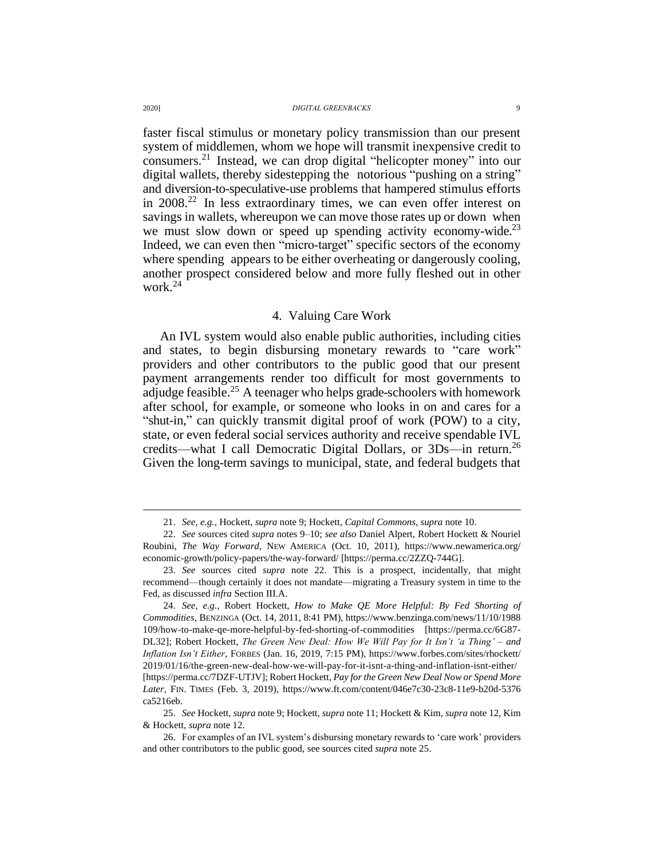faster fiscal stimulus or monetary policy transmission than our present system of middlemen, whom we hope will transmit inexpensive credit to consumers.<sup>21</sup> Instead, we can drop digital "helicopter money" into our digital wallets, thereby sidestepping the notorious "pushing on a string" and diversion-to-speculative-use problems that hampered stimulus efforts in 2008.<sup>22</sup> In less extraordinary times, we can even offer interest on savings in wallets, whereupon we can move those rates up or down when we must slow down or speed up spending activity economy-wide.<sup>23</sup> Indeed, we can even then "micro‐target" specific sectors of the economy where spending appears to be either overheating or dangerously cooling, another prospect considered below and more fully fleshed out in other work. 24

### 4. Valuing Care Work

An IVL system would also enable public authorities, including cities and states, to begin disbursing monetary rewards to "care work" providers and other contributors to the public good that our present payment arrangements render too difficult for most governments to adjudge feasible.<sup>25</sup> A teenager who helps grade-schoolers with homework after school, for example, or someone who looks in on and cares for a "shut-in," can quickly transmit digital proof of work (POW) to a city, state, or even federal social services authority and receive spendable IVL credits—what I call Democratic Digital Dollars, or 3Ds—in return.<sup>26</sup> Given the long-term savings to municipal, state, and federal budgets that

<sup>21.</sup> *See, e.g.*, Hockett, *supra* note 9; Hockett, *Capital Commons*, *supra* note 10.

<sup>22.</sup> *See* sources cited *supra* notes 9–10; *see also* Daniel Alpert, Robert Hockett & Nouriel Roubini, *The Way Forward*, NEW AMERICA (Oct. 10, 2011), https://www.newamerica.org/ economic-growth/policy-papers/the-way-forward/ [https://perma.cc/2ZZQ-744G].

<sup>23.</sup> *See* sources cited *supra* note 22. This is a prospect, incidentally, that might recommend—though certainly it does not mandate—migrating a Treasury system in time to the Fed, as discussed *infra* Section III.A.

<sup>24.</sup> *See, e.g.*, Robert Hockett, *How to Make QE More Helpful: By Fed Shorting of Commodities*, BENZINGA (Oct. 14, 2011, 8:41 PM), https://www.benzinga.com/news/11/10/1988 109/how-to-make-qe-more-helpful-by-fed-shorting-of-commodities [https://perma.cc/6G87- DL32]; Robert Hockett, *The Green New Deal: How We Will Pay for It Isn't 'a Thing' – and Inflation Isn't Either*, FORBES (Jan. 16, 2019, 7:15 PM), https://www.forbes.com/sites/rhockett/ 2019/01/16/the-green-new-deal-how-we-will-pay-for-it-isnt-a-thing-and-inflation-isnt-either/ [https://perma.cc/7DZF-UTJV]; Robert Hockett, *Pay for the Green New Deal Now or Spend More*  Later, FIN. TIMES (Feb. 3, 2019), https://www.ft.com/content/046e7c30-23c8-11e9-b20d-5376 ca5216eb.

<sup>25.</sup> *See* Hockett, *supra* note 9; Hockett, *supra* note 11; Hockett & Kim, *supra* note 12, Kim & Hockett, *supra* note 12.

<sup>26.</sup> For examples of an IVL system's disbursing monetary rewards to 'care work' providers and other contributors to the public good, see sources cited *supra* note 25.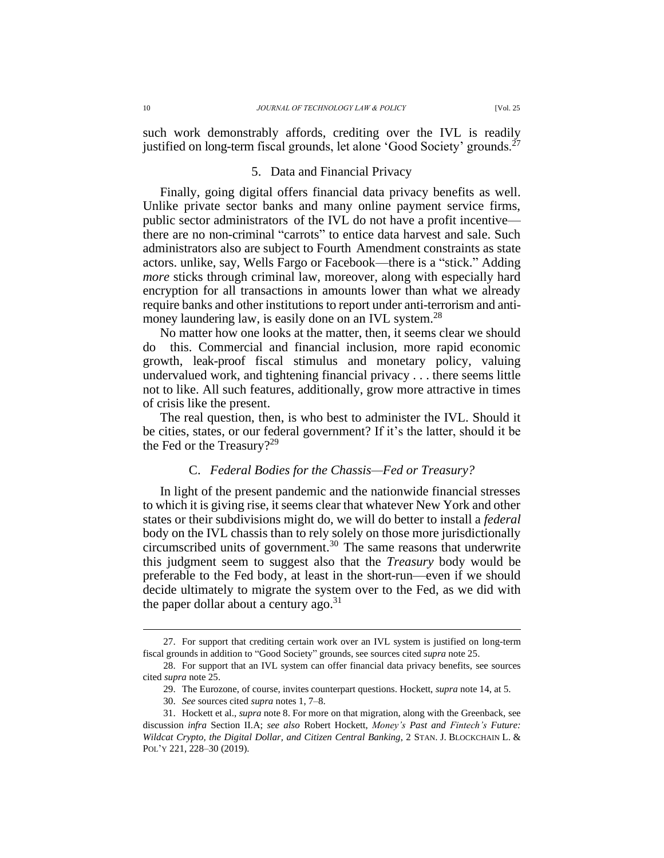such work demonstrably affords, crediting over the IVL is readily justified on long-term fiscal grounds, let alone 'Good Society' grounds.<sup>27</sup>

#### 5. Data and Financial Privacy

Finally, going digital offers financial data privacy benefits as well. Unlike private sector banks and many online payment service firms, public sector administrators of the IVL do not have a profit incentive there are no non-criminal "carrots" to entice data harvest and sale. Such administrators also are subject to Fourth Amendment constraints as state actors. unlike, say, Wells Fargo or Facebook—there is a "stick." Adding *more* sticks through criminal law, moreover, along with especially hard encryption for all transactions in amounts lower than what we already require banks and other institutions to report under anti-terrorism and antimoney laundering law, is easily done on an IVL system.<sup>28</sup>

No matter how one looks at the matter, then, it seems clear we should do this. Commercial and financial inclusion, more rapid economic growth, leak-proof fiscal stimulus and monetary policy, valuing undervalued work, and tightening financial privacy . . . there seems little not to like. All such features, additionally, grow more attractive in times of crisis like the present.

The real question, then, is who best to administer the IVL. Should it be cities, states, or our federal government? If it's the latter, should it be the Fed or the Treasury?<sup>29</sup>

#### C. *Federal Bodies for the Chassis—Fed or Treasury?*

In light of the present pandemic and the nationwide financial stresses to which it is giving rise, it seems clear that whatever New York and other states or their subdivisions might do, we will do better to install a *federal* body on the IVL chassis than to rely solely on those more jurisdictionally circumscribed units of government. <sup>30</sup> The same reasons that underwrite this judgment seem to suggest also that the *Treasury* body would be preferable to the Fed body, at least in the short-run—even if we should decide ultimately to migrate the system over to the Fed, as we did with the paper dollar about a century ago.<sup>31</sup>

<sup>27.</sup> For support that crediting certain work over an IVL system is justified on long-term fiscal grounds in addition to "Good Society" grounds, see sources cited *supra* note 25.

<sup>28.</sup> For support that an IVL system can offer financial data privacy benefits, see sources cited *supra* note 25.

<sup>29.</sup> The Eurozone, of course, invites counterpart questions. Hockett, *supra* note 14, at 5.

<sup>30.</sup> *See* sources cited *supra* notes 1, 7–8.

<sup>31.</sup> Hockett et al., *supra* note 8. For more on that migration, along with the Greenback, see discussion *infra* Section II.A; *see also* Robert Hockett, *Money's Past and Fintech's Future: Wildcat Crypto, the Digital Dollar, and Citizen Central Banking*, 2 STAN. J. BLOCKCHAIN L. & POL'Y 221, 228–30 (2019).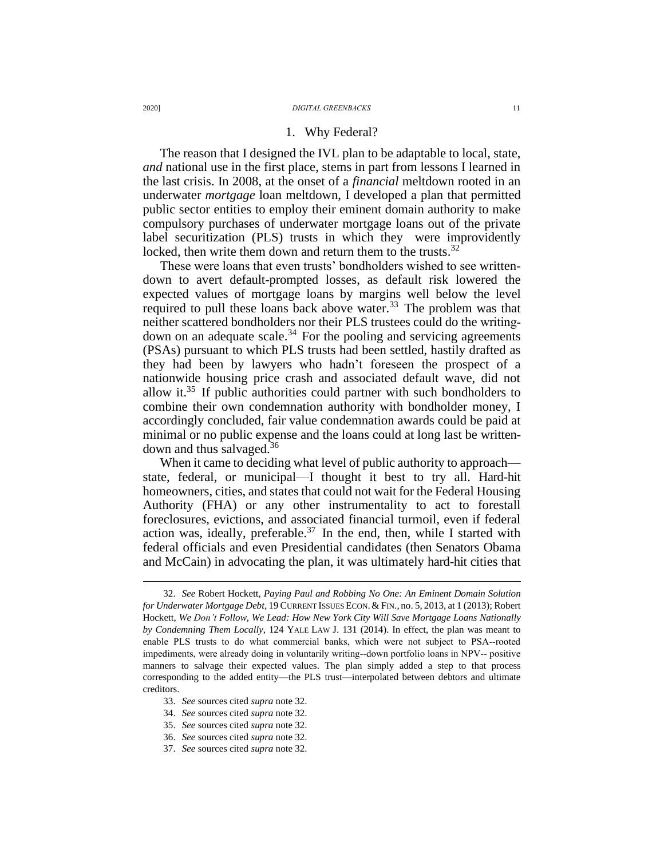#### 1. Why Federal?

The reason that I designed the IVL plan to be adaptable to local, state, *and* national use in the first place, stems in part from lessons I learned in the last crisis. In 2008, at the onset of a *financial* meltdown rooted in an underwater *mortgage* loan meltdown, I developed a plan that permitted public sector entities to employ their eminent domain authority to make compulsory purchases of underwater mortgage loans out of the private label securitization (PLS) trusts in which they were improvidently locked, then write them down and return them to the trusts.<sup>32</sup>

These were loans that even trusts' bondholders wished to see writtendown to avert default-prompted losses, as default risk lowered the expected values of mortgage loans by margins well below the level required to pull these loans back above water.<sup>33</sup> The problem was that neither scattered bondholders nor their PLS trustees could do the writing‐ down on an adequate scale.<sup>34</sup> For the pooling and servicing agreements (PSAs) pursuant to which PLS trusts had been settled, hastily drafted as they had been by lawyers who hadn't foreseen the prospect of a nationwide housing price crash and associated default wave, did not allow it.<sup>35</sup> If public authorities could partner with such bondholders to combine their own condemnation authority with bondholder money, I accordingly concluded, fair value condemnation awards could be paid at minimal or no public expense and the loans could at long last be writtendown and thus salvaged.<sup>36</sup>

When it came to deciding what level of public authority to approach state, federal, or municipal—I thought it best to try all. Hard-hit homeowners, cities, and states that could not wait for the Federal Housing Authority (FHA) or any other instrumentality to act to forestall foreclosures, evictions, and associated financial turmoil, even if federal action was, ideally, preferable.<sup>37</sup> In the end, then, while I started with federal officials and even Presidential candidates (then Senators Obama and McCain) in advocating the plan, it was ultimately hard-hit cities that

- 33. *See* sources cited *supra* note 32.
- 34. *See* sources cited *supra* note 32.
- 35. *See* sources cited *supra* note 32.
- 36. *See* sources cited *supra* note 32.
- 37. *See* sources cited *supra* note 32.

<sup>32.</sup> *See* Robert Hockett, *Paying Paul and Robbing No One: An Eminent Domain Solution for Underwater Mortgage Debt*, 19 CURRENT ISSUES ECON.& FIN., no. 5, 2013, at 1 (2013); Robert Hockett, *We Don't Follow, We Lead: How New York City Will Save Mortgage Loans Nationally by Condemning Them Locally*, 124 YALE LAW J. 131 (2014). In effect, the plan was meant to enable PLS trusts to do what commercial banks, which were not subject to PSA‐rooted impediments, were already doing in voluntarily writing--down portfolio loans in NPV-- positive manners to salvage their expected values. The plan simply added a step to that process corresponding to the added entity—the PLS trust—interpolated between debtors and ultimate creditors.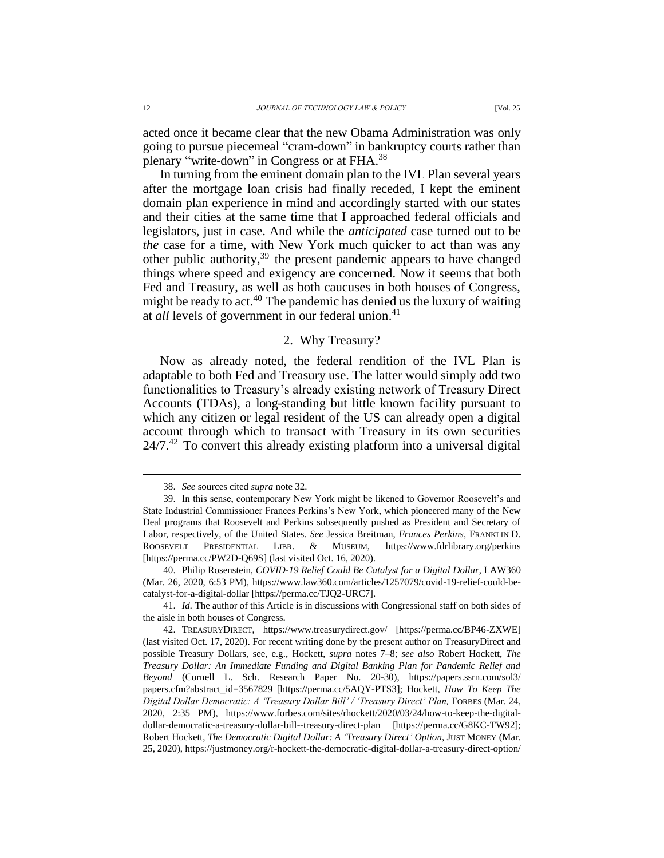acted once it became clear that the new Obama Administration was only going to pursue piecemeal "cram-down" in bankruptcy courts rather than plenary "write-down" in Congress or at FHA.<sup>38</sup>

In turning from the eminent domain plan to the IVL Plan several years after the mortgage loan crisis had finally receded, I kept the eminent domain plan experience in mind and accordingly started with our states and their cities at the same time that I approached federal officials and legislators, just in case. And while the *anticipated* case turned out to be *the* case for a time, with New York much quicker to act than was any other public authority,<sup>39</sup> the present pandemic appears to have changed things where speed and exigency are concerned. Now it seems that both Fed and Treasury, as well as both caucuses in both houses of Congress, might be ready to act. <sup>40</sup> The pandemic has denied us the luxury of waiting at *all* levels of government in our federal union. 41

#### 2. Why Treasury?

Now as already noted, the federal rendition of the IVL Plan is adaptable to both Fed and Treasury use. The latter would simply add two functionalities to Treasury's already existing network of Treasury Direct Accounts (TDAs), a long-standing but little known facility pursuant to which any citizen or legal resident of the US can already open a digital account through which to transact with Treasury in its own securities  $24/7<sup>42</sup>$  To convert this already existing platform into a universal digital

<sup>38.</sup> *See* sources cited *supra* note 32.

<sup>39.</sup> In this sense, contemporary New York might be likened to Governor Roosevelt's and State Industrial Commissioner Frances Perkins's New York, which pioneered many of the New Deal programs that Roosevelt and Perkins subsequently pushed as President and Secretary of Labor, respectively, of the United States. *See* Jessica Breitman, *Frances Perkins*, FRANKLIN D. ROOSEVELT PRESIDENTIAL LIBR. & MUSEUM, https://www.fdrlibrary.org/perkins [https://perma.cc/PW2D-Q69S] (last visited Oct. 16, 2020).

<sup>40.</sup> Philip Rosenstein, *COVID-19 Relief Could Be Catalyst for a Digital Dollar*, LAW360 (Mar. 26, 2020, 6:53 PM), https://www.law360.com/articles/1257079/covid-19-relief-could-becatalyst-for-a-digital-dollar [https://perma.cc/TJQ2-URC7].

<sup>41.</sup> *Id.* The author of this Article is in discussions with Congressional staff on both sides of the aisle in both houses of Congress.

<sup>42.</sup> TREASURYDIRECT, https://www.treasurydirect.gov/ [https://perma.cc/BP46-ZXWE] (last visited Oct. 17, 2020). For recent writing done by the present author on TreasuryDirect and possible Treasury Dollars, see, e.g., Hockett, *supra* notes 7–8; *see also* Robert Hockett, *The Treasury Dollar: An Immediate Funding and Digital Banking Plan for Pandemic Relief and Beyond* (Cornell L. Sch. Research Paper No. 20-30), https://papers.ssrn.com/sol3/ papers.cfm?abstract\_id=3567829 [https://perma.cc/5AQY-PTS3]; Hockett, *How To Keep The Digital Dollar Democratic: A 'Treasury Dollar Bill' / 'Treasury Direct' Plan, FORBES (Mar. 24,* 2020, 2:35 PM), https://www.forbes.com/sites/rhockett/2020/03/24/how-to-keep-the-digitaldollar-democratic-a-treasury-dollar-bill--treasury-direct-plan [https://perma.cc/G8KC-TW92]; Robert Hockett, *The Democratic Digital Dollar: A 'Treasury Direct' Option*, JUST MONEY (Mar. 25, 2020), https://justmoney.org/r-hockett-the-democratic-digital-dollar-a-treasury-direct-option/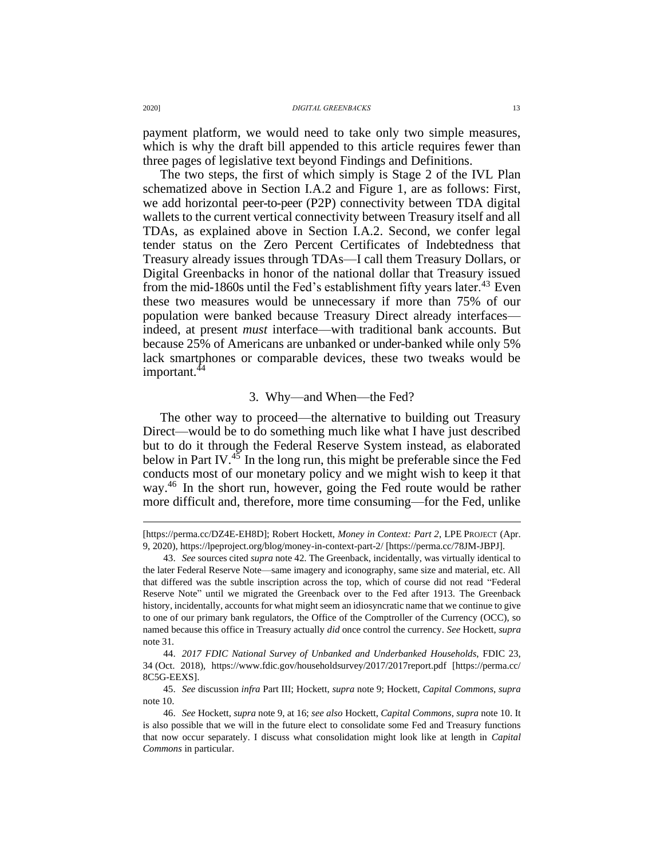payment platform, we would need to take only two simple measures, which is why the draft bill appended to this article requires fewer than three pages of legislative text beyond Findings and Definitions.

The two steps, the first of which simply is Stage 2 of the IVL Plan schematized above in Section I.A.2 and Figure 1, are as follows: First, we add horizontal peer-to-peer (P2P) connectivity between TDA digital wallets to the current vertical connectivity between Treasury itself and all TDAs, as explained above in Section I.A.2. Second, we confer legal tender status on the Zero Percent Certificates of Indebtedness that Treasury already issues through TDAs—I call them Treasury Dollars, or Digital Greenbacks in honor of the national dollar that Treasury issued from the mid-1860s until the Fed's establishment fifty years later.<sup>43</sup> Even these two measures would be unnecessary if more than 75% of our population were banked because Treasury Direct already interfaces indeed, at present *must* interface—with traditional bank accounts. But because 25% of Americans are unbanked or under-banked while only 5% lack smartphones or comparable devices, these two tweaks would be important.<sup>44</sup>

#### 3. Why—and When—the Fed?

The other way to proceed—the alternative to building out Treasury Direct—would be to do something much like what I have just described but to do it through the Federal Reserve System instead, as elaborated below in Part IV. $45$  In the long run, this might be preferable since the Fed conducts most of our monetary policy and we might wish to keep it that way.<sup>46</sup> In the short run, however, going the Fed route would be rather more difficult and, therefore, more time consuming—for the Fed, unlike

<sup>[</sup>https://perma.cc/DZ4E-EH8D]; Robert Hockett, *Money in Context: Part 2*, LPE PROJECT (Apr. 9, 2020), https://lpeproject.org/blog/money-in-context-part-2/ [https://perma.cc/78JM-JBPJ].

<sup>43.</sup> *See* sources cited *supra* note 42. The Greenback, incidentally, was virtually identical to the later Federal Reserve Note—same imagery and iconography, same size and material, etc. All that differed was the subtle inscription across the top, which of course did not read "Federal Reserve Note" until we migrated the Greenback over to the Fed after 1913. The Greenback history, incidentally, accounts for what might seem an idiosyncratic name that we continue to give to one of our primary bank regulators, the Office of the Comptroller of the Currency (OCC), so named because this office in Treasury actually *did* once control the currency. *See* Hockett, *supra* note 31*.*

<sup>44.</sup> *2017 FDIC National Survey of Unbanked and Underbanked Households*, FDIC 23, 34 (Oct. 2018), https://www.fdic.gov/householdsurvey/2017/2017report.pdf [https://perma.cc/ 8C5G-EEXS].

<sup>45.</sup> *See* discussion *infra* Part III; Hockett, *supra* note 9; Hockett, *Capital Commons*, *supra* note 10.

<sup>46.</sup> *See* Hockett, *supra* note 9, at 16; *see also* Hockett, *Capital Commons*, *supra* note 10. It is also possible that we will in the future elect to consolidate some Fed and Treasury functions that now occur separately. I discuss what consolidation might look like at length in *Capital Commons* in particular.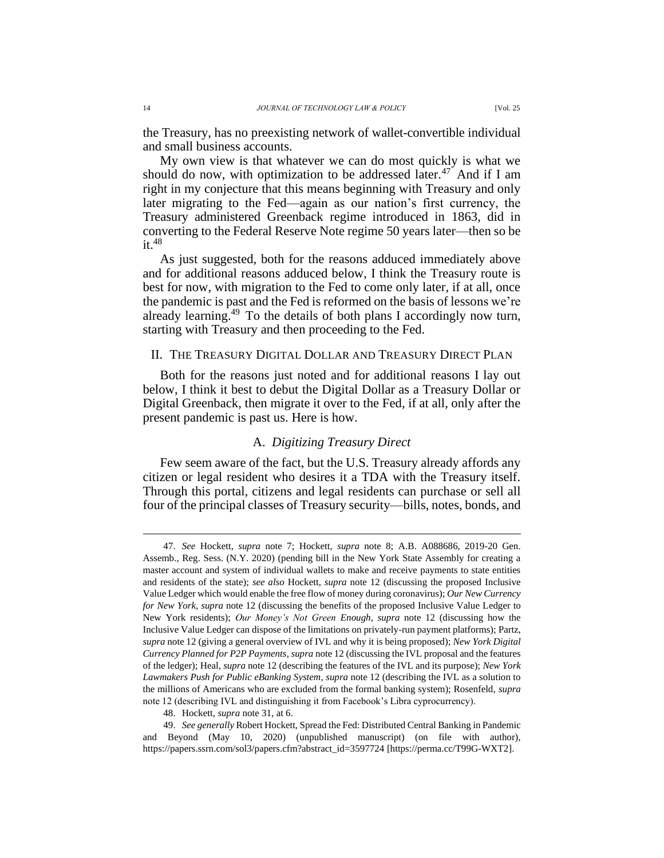the Treasury, has no preexisting network of wallet-convertible individual and small business accounts.

My own view is that whatever we can do most quickly is what we should do now, with optimization to be addressed later.<sup>47</sup> And if I am right in my conjecture that this means beginning with Treasury and only later migrating to the Fed—again as our nation's first currency, the Treasury administered Greenback regime introduced in 1863, did in converting to the Federal Reserve Note regime 50 years later—then so be  $it.<sup>48</sup>$ 

As just suggested, both for the reasons adduced immediately above and for additional reasons adduced below, I think the Treasury route is best for now, with migration to the Fed to come only later, if at all, once the pandemic is past and the Fed is reformed on the basis of lessons we're already learning.<sup>49</sup> To the details of both plans I accordingly now turn, starting with Treasury and then proceeding to the Fed.

#### II. THE TREASURY DIGITAL DOLLAR AND TREASURY DIRECT PLAN

Both for the reasons just noted and for additional reasons I lay out below, I think it best to debut the Digital Dollar as a Treasury Dollar or Digital Greenback, then migrate it over to the Fed, if at all, only after the present pandemic is past us. Here is how.

### A. *Digitizing Treasury Direct*

Few seem aware of the fact, but the U.S. Treasury already affords any citizen or legal resident who desires it a TDA with the Treasury itself. Through this portal, citizens and legal residents can purchase or sell all four of the principal classes of Treasury security—bills, notes, bonds, and

<sup>47.</sup> *See* Hockett, *supra* note 7; Hockett, *supra* note 8; A.B. A088686, 2019-20 Gen. Assemb., Reg. Sess. (N.Y. 2020) (pending bill in the New York State Assembly for creating a master account and system of individual wallets to make and receive payments to state entities and residents of the state); *see also* Hockett, *supra* note 12 (discussing the proposed Inclusive Value Ledger which would enable the free flow of money during coronavirus); *Our New Currency for New York*, *supra* note 12 (discussing the benefits of the proposed Inclusive Value Ledger to New York residents); *Our Money's Not Green Enough*, *supra* note 12 (discussing how the Inclusive Value Ledger can dispose of the limitations on privately-run payment platforms); Partz, *supra* note 12 (giving a general overview of IVL and why it is being proposed); *New York Digital Currency Planned for P2P Payments*, *supra* note 12 (discussing the IVL proposal and the features of the ledger); Heal, *supra* note 12 (describing the features of the IVL and its purpose); *New York Lawmakers Push for Public eBanking System*, *supra* note 12 (describing the IVL as a solution to the millions of Americans who are excluded from the formal banking system); Rosenfeld, *supra* note 12 (describing IVL and distinguishing it from Facebook's Libra cyprocurrency).

<sup>48.</sup> Hockett, *supra* note 31, at 6.

<sup>49.</sup> *See generally* Robert Hockett, Spread the Fed: Distributed Central Banking in Pandemic and Beyond (May 10, 2020) (unpublished manuscript) (on file with author), https://papers.ssrn.com/sol3/papers.cfm?abstract\_id=3597724 [https://perma.cc/T99G-WXT2].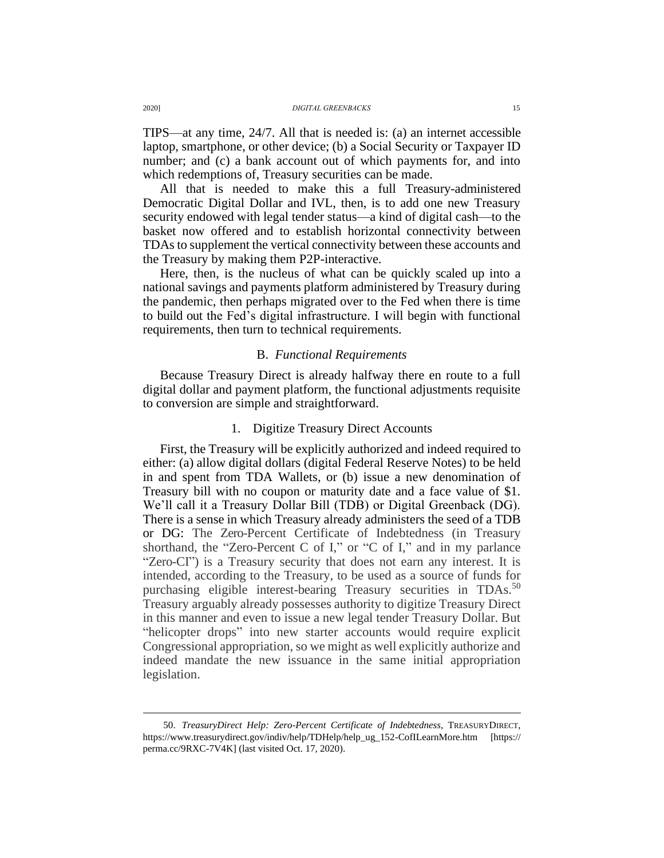TIPS—at any time, 24/7. All that is needed is: (a) an internet accessible laptop, smartphone, or other device; (b) a Social Security or Taxpayer ID number; and (c) a bank account out of which payments for, and into which redemptions of, Treasury securities can be made.

All that is needed to make this a full Treasury-administered Democratic Digital Dollar and IVL, then, is to add one new Treasury security endowed with legal tender status—a kind of digital cash—to the basket now offered and to establish horizontal connectivity between TDAsto supplement the vertical connectivity between these accounts and the Treasury by making them P2P-interactive.

Here, then, is the nucleus of what can be quickly scaled up into a national savings and payments platform administered by Treasury during the pandemic, then perhaps migrated over to the Fed when there is time to build out the Fed's digital infrastructure. I will begin with functional requirements, then turn to technical requirements.

#### B. *Functional Requirements*

Because Treasury Direct is already halfway there en route to a full digital dollar and payment platform, the functional adjustments requisite to conversion are simple and straightforward.

#### 1. Digitize Treasury Direct Accounts

First, the Treasury will be explicitly authorized and indeed required to either: (a) allow digital dollars (digital Federal Reserve Notes) to be held in and spent from TDA Wallets, or (b) issue a new denomination of Treasury bill with no coupon or maturity date and a face value of \$1. We'll call it a Treasury Dollar Bill (TDB) or Digital Greenback (DG). There is a sense in which Treasury already administers the seed of a TDB or DG: The Zero-Percent Certificate of Indebtedness (in Treasury shorthand, the "Zero-Percent C of I," or "C of I," and in my parlance "Zero-CI") is a Treasury security that does not earn any interest. It is intended, according to the Treasury, to be used as a source of funds for purchasing eligible interest-bearing Treasury securities in TDAs.<sup>50</sup> Treasury arguably already possesses authority to digitize Treasury Direct in this manner and even to issue a new legal tender Treasury Dollar. But "helicopter drops" into new starter accounts would require explicit Congressional appropriation, so we might as well explicitly authorize and indeed mandate the new issuance in the same initial appropriation legislation.

<sup>50.</sup> *TreasuryDirect Help: Zero-Percent Certificate of Indebtedness*, TREASURYDIRECT, https://www.treasurydirect.gov/indiv/help/TDHelp/help\_ug\_152-CofILearnMore.htm [https:// perma.cc/9RXC-7V4K] (last visited Oct. 17, 2020).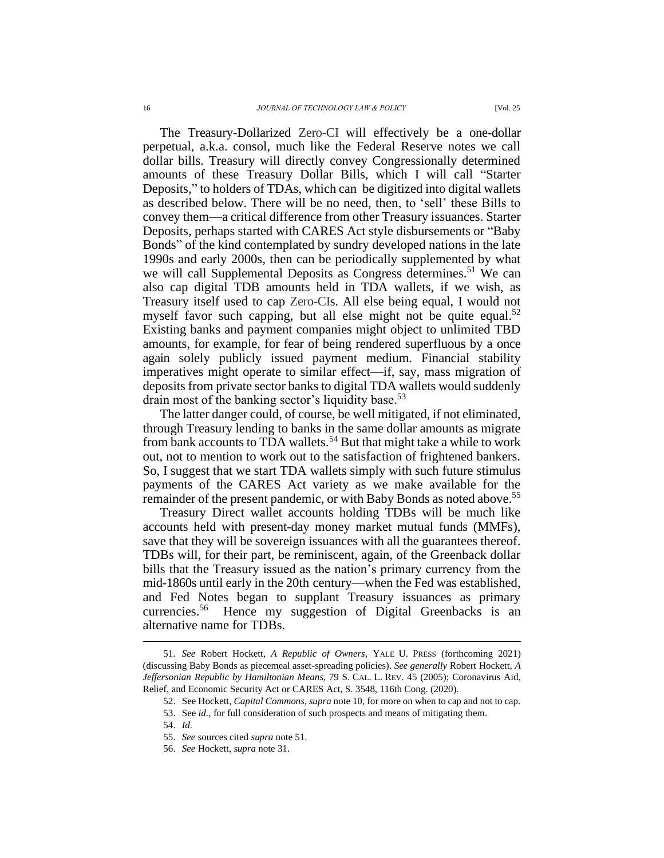The Treasury-Dollarized Zero-CI will effectively be a one-dollar perpetual, a.k.a. consol, much like the Federal Reserve notes we call dollar bills. Treasury will directly convey Congressionally determined amounts of these Treasury Dollar Bills, which I will call "Starter Deposits," to holders of TDAs, which can be digitized into digital wallets as described below. There will be no need, then, to 'sell' these Bills to convey them—a critical difference from other Treasury issuances. Starter Deposits, perhaps started with CARES Act style disbursements or "Baby Bonds" of the kind contemplated by sundry developed nations in the late 1990s and early 2000s, then can be periodically supplemented by what we will call Supplemental Deposits as Congress determines.<sup>51</sup> We can also cap digital TDB amounts held in TDA wallets, if we wish, as Treasury itself used to cap Zero-CIs. All else being equal, I would not myself favor such capping, but all else might not be quite equal.<sup>52</sup> Existing banks and payment companies might object to unlimited TBD amounts, for example, for fear of being rendered superfluous by a once again solely publicly issued payment medium. Financial stability imperatives might operate to similar effect—if, say, mass migration of deposits from private sector banks to digital TDA wallets would suddenly drain most of the banking sector's liquidity base.<sup>53</sup>

The latter danger could, of course, be well mitigated, if not eliminated, through Treasury lending to banks in the same dollar amounts as migrate from bank accounts to TDA wallets.<sup>54</sup> But that might take a while to work out, not to mention to work out to the satisfaction of frightened bankers. So, I suggest that we start TDA wallets simply with such future stimulus payments of the CARES Act variety as we make available for the remainder of the present pandemic, or with Baby Bonds as noted above.<sup>55</sup>

Treasury Direct wallet accounts holding TDBs will be much like accounts held with present-day money market mutual funds (MMFs), save that they will be sovereign issuances with all the guarantees thereof. TDBs will, for their part, be reminiscent, again, of the Greenback dollar bills that the Treasury issued as the nation's primary currency from the mid-1860s until early in the 20th century—when the Fed was established, and Fed Notes began to supplant Treasury issuances as primary currencies. Hence my suggestion of Digital Greenbacks is an alternative name for TDBs.

<sup>51.</sup> *See* Robert Hockett, *A Republic of Owners*, YALE U. PRESS (forthcoming 2021) (discussing Baby Bonds as piecemeal asset-spreading policies). *See generally* Robert Hockett, *A Jeffersonian Republic by Hamiltonian Means*, 79 S. CAL. L. REV. 45 (2005); Coronavirus Aid, Relief, and Economic Security Act or CARES Act, S. 3548, 116th Cong. (2020).

<sup>52.</sup> See Hockett, *Capital Commons*, *supra* note 10, for more on when to cap and not to cap.

<sup>53.</sup> See *id.*, for full consideration of such prospects and means of mitigating them.

<sup>54.</sup> *Id.*

<sup>55.</sup> *See* sources cited *supra* note 51.

<sup>56.</sup> *See* Hockett, *supra* note 31.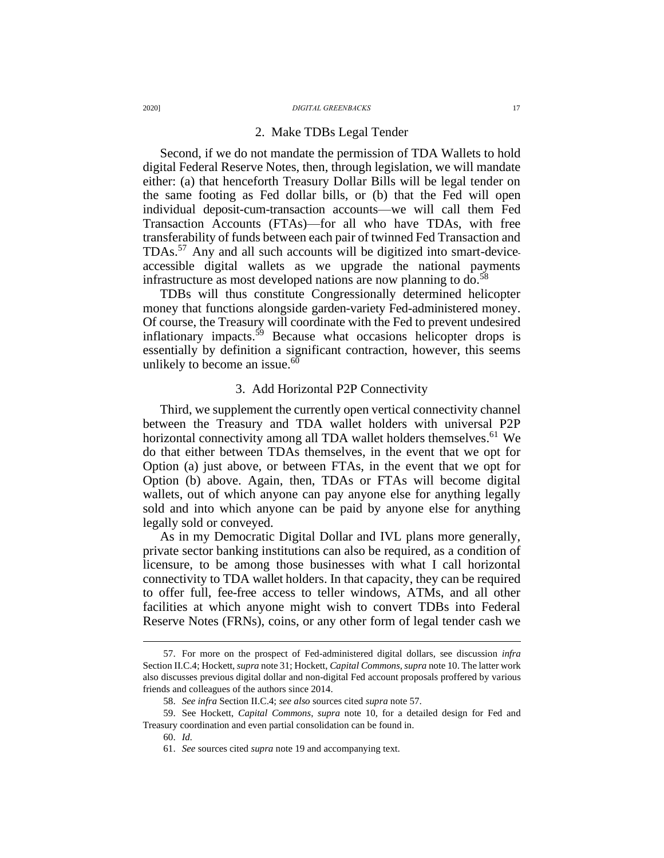#### 2. Make TDBs Legal Tender

Second, if we do not mandate the permission of TDA Wallets to hold digital Federal Reserve Notes, then, through legislation, we will mandate either: (a) that henceforth Treasury Dollar Bills will be legal tender on the same footing as Fed dollar bills, or (b) that the Fed will open individual deposit-cum-transaction accounts—we will call them Fed Transaction Accounts (FTAs)—for all who have TDAs, with free transferability of funds between each pair of twinned Fed Transaction and TDAs. <sup>57</sup> Any and all such accounts will be digitized into smart-deviceaccessible digital wallets as we upgrade the national payments infrastructure as most developed nations are now planning to  $do.^{58}$ 

TDBs will thus constitute Congressionally determined helicopter money that functions alongside garden-variety Fed-administered money. Of course, the Treasury will coordinate with the Fed to prevent undesired inflationary impacts.<sup>59</sup> Because what occasions helicopter drops is essentially by definition a significant contraction, however, this seems unlikely to become an issue. $60$ 

#### 3. Add Horizontal P2P Connectivity

Third, we supplement the currently open vertical connectivity channel between the Treasury and TDA wallet holders with universal P2P horizontal connectivity among all TDA wallet holders themselves.<sup>61</sup> We do that either between TDAs themselves, in the event that we opt for Option (a) just above, or between FTAs, in the event that we opt for Option (b) above. Again, then, TDAs or FTAs will become digital wallets, out of which anyone can pay anyone else for anything legally sold and into which anyone can be paid by anyone else for anything legally sold or conveyed.

As in my Democratic Digital Dollar and IVL plans more generally, private sector banking institutions can also be required, as a condition of licensure, to be among those businesses with what I call horizontal connectivity to TDA wallet holders. In that capacity, they can be required to offer full, fee-free access to teller windows, ATMs, and all other facilities at which anyone might wish to convert TDBs into Federal Reserve Notes (FRNs), coins, or any other form of legal tender cash we

<sup>57.</sup> For more on the prospect of Fed-administered digital dollars, see discussion *infra* Section II.C.4; Hockett, *supra* note 31; Hockett, *Capital Commons*,*supra* note 10. The latter work also discusses previous digital dollar and non-digital Fed account proposals proffered by various friends and colleagues of the authors since 2014.

<sup>58.</sup> *See infra* Section II.C.4; *see also* sources cited *supra* note 57.

<sup>59.</sup> See Hockett, *Capital Commons*, *supra* note 10, for a detailed design for Fed and Treasury coordination and even partial consolidation can be found in.

<sup>60.</sup> *Id.*

<sup>61.</sup> *See* sources cited *supra* note 19 and accompanying text.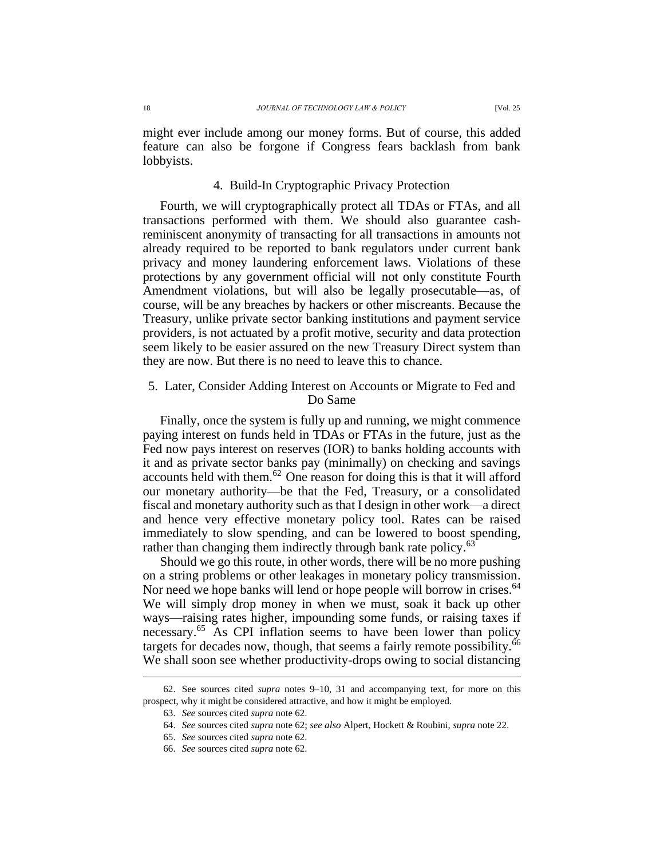might ever include among our money forms. But of course, this added feature can also be forgone if Congress fears backlash from bank lobbyists.

### 4. Build-In Cryptographic Privacy Protection

Fourth, we will cryptographically protect all TDAs or FTAs, and all transactions performed with them. We should also guarantee cashreminiscent anonymity of transacting for all transactions in amounts not already required to be reported to bank regulators under current bank privacy and money laundering enforcement laws. Violations of these protections by any government official will not only constitute Fourth Amendment violations, but will also be legally prosecutable—as, of course, will be any breaches by hackers or other miscreants. Because the Treasury, unlike private sector banking institutions and payment service providers, is not actuated by a profit motive, security and data protection seem likely to be easier assured on the new Treasury Direct system than they are now. But there is no need to leave this to chance.

### 5. Later, Consider Adding Interest on Accounts or Migrate to Fed and Do Same

Finally, once the system is fully up and running, we might commence paying interest on funds held in TDAs or FTAs in the future, just as the Fed now pays interest on reserves (IOR) to banks holding accounts with it and as private sector banks pay (minimally) on checking and savings accounts held with them. $62$  One reason for doing this is that it will afford our monetary authority—be that the Fed, Treasury, or a consolidated fiscal and monetary authority such as that I design in other work—a direct and hence very effective monetary policy tool. Rates can be raised immediately to slow spending, and can be lowered to boost spending, rather than changing them indirectly through bank rate policy.<sup>63</sup>

Should we go this route, in other words, there will be no more pushing on a string problems or other leakages in monetary policy transmission. Nor need we hope banks will lend or hope people will borrow in crises.<sup>64</sup> We will simply drop money in when we must, soak it back up other ways—raising rates higher, impounding some funds, or raising taxes if necessary. <sup>65</sup> As CPI inflation seems to have been lower than policy targets for decades now, though, that seems a fairly remote possibility.<sup>66</sup> We shall soon see whether productivity-drops owing to social distancing

<sup>62.</sup> See sources cited *supra* notes 9–10, 31 and accompanying text, for more on this prospect, why it might be considered attractive, and how it might be employed.

<sup>63.</sup> *See* sources cited *supra* note 62.

<sup>64.</sup> *See* sources cited *supra* note 62; *see also* Alpert, Hockett & Roubini, *supra* note 22.

<sup>65.</sup> *See* sources cited *supra* note 62.

<sup>66.</sup> *See* sources cited *supra* note 62.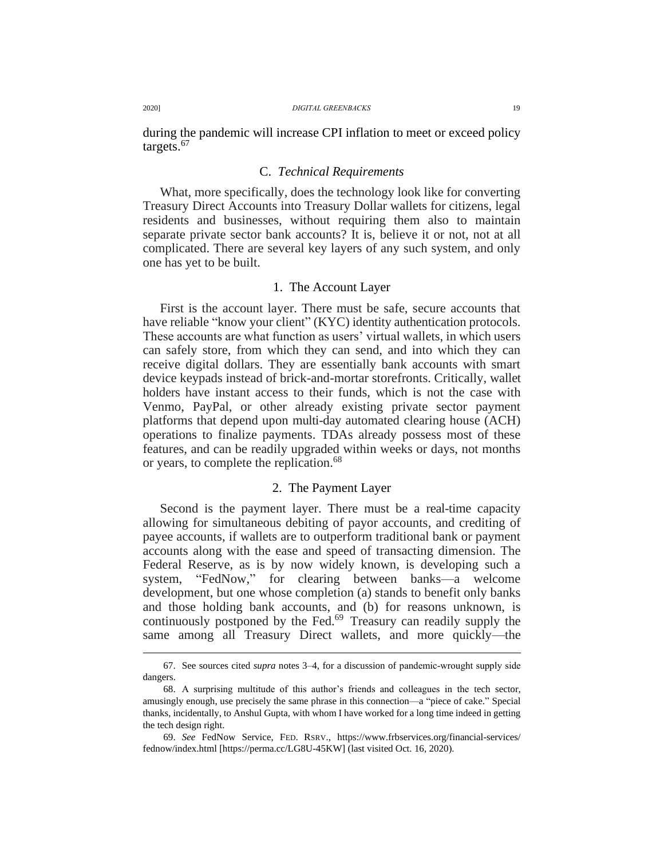during the pandemic will increase CPI inflation to meet or exceed policy targets. 67

#### C. *Technical Requirements*

What, more specifically, does the technology look like for converting Treasury Direct Accounts into Treasury Dollar wallets for citizens, legal residents and businesses, without requiring them also to maintain separate private sector bank accounts? It is, believe it or not, not at all complicated. There are several key layers of any such system, and only one has yet to be built.

#### 1. The Account Layer

First is the account layer. There must be safe, secure accounts that have reliable "know your client" (KYC) identity authentication protocols. These accounts are what function as users' virtual wallets, in which users can safely store, from which they can send, and into which they can receive digital dollars. They are essentially bank accounts with smart device keypads instead of brick-and-mortar storefronts. Critically, wallet holders have instant access to their funds, which is not the case with Venmo, PayPal, or other already existing private sector payment platforms that depend upon multi-day automated clearing house (ACH) operations to finalize payments. TDAs already possess most of these features, and can be readily upgraded within weeks or days, not months or years, to complete the replication. 68

### 2. The Payment Layer

Second is the payment layer. There must be a real-time capacity allowing for simultaneous debiting of payor accounts, and crediting of payee accounts, if wallets are to outperform traditional bank or payment accounts along with the ease and speed of transacting dimension. The Federal Reserve, as is by now widely known, is developing such a system, "FedNow," for clearing between banks—a welcome development, but one whose completion (a) stands to benefit only banks and those holding bank accounts, and (b) for reasons unknown, is continuously postponed by the Fed. <sup>69</sup> Treasury can readily supply the same among all Treasury Direct wallets, and more quickly—the

<sup>67.</sup> See sources cited *supra* notes 3–4, for a discussion of pandemic‐wrought supply side dangers.

<sup>68.</sup> A surprising multitude of this author's friends and colleagues in the tech sector, amusingly enough, use precisely the same phrase in this connection—a "piece of cake." Special thanks, incidentally, to Anshul Gupta, with whom I have worked for a long time indeed in getting the tech design right.

<sup>69.</sup> *See* FedNow Service, FED. RSRV., https://www.frbservices.org/financial-services/ fednow/index.html [https://perma.cc/LG8U-45KW] (last visited Oct. 16, 2020).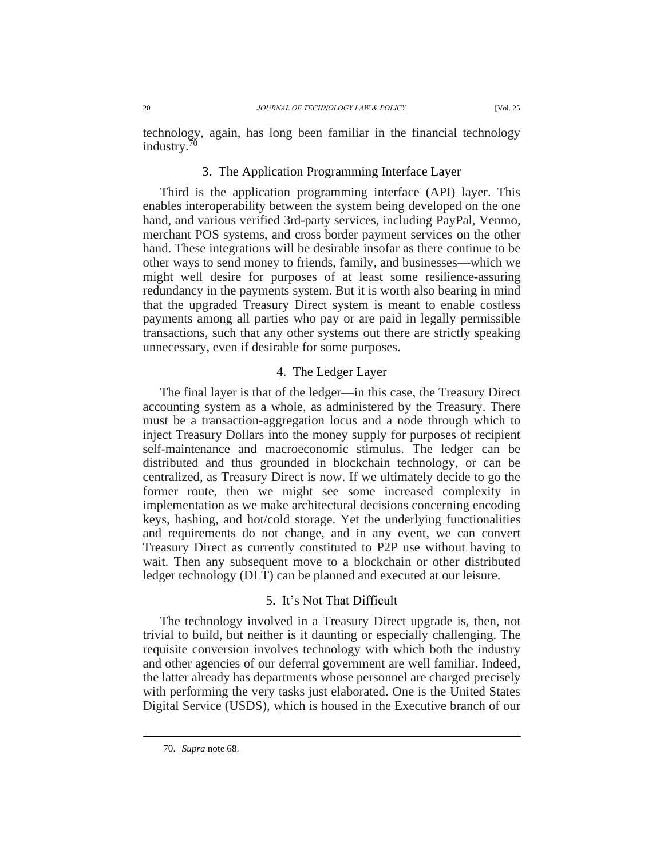technology, again, has long been familiar in the financial technology industry.<sup>70</sup>

#### 3. The Application Programming Interface Layer

Third is the application programming interface (API) layer. This enables interoperability between the system being developed on the one hand, and various verified 3rd-party services, including PayPal, Venmo, merchant POS systems, and cross border payment services on the other hand. These integrations will be desirable insofar as there continue to be other ways to send money to friends, family, and businesses—which we might well desire for purposes of at least some resilience-assuring redundancy in the payments system. But it is worth also bearing in mind that the upgraded Treasury Direct system is meant to enable costless payments among all parties who pay or are paid in legally permissible transactions, such that any other systems out there are strictly speaking unnecessary, even if desirable for some purposes.

#### 4. The Ledger Layer

The final layer is that of the ledger—in this case, the Treasury Direct accounting system as a whole, as administered by the Treasury. There must be a transaction-aggregation locus and a node through which to inject Treasury Dollars into the money supply for purposes of recipient self-maintenance and macroeconomic stimulus. The ledger can be distributed and thus grounded in blockchain technology, or can be centralized, as Treasury Direct is now. If we ultimately decide to go the former route, then we might see some increased complexity in implementation as we make architectural decisions concerning encoding keys, hashing, and hot/cold storage. Yet the underlying functionalities and requirements do not change, and in any event, we can convert Treasury Direct as currently constituted to P2P use without having to wait. Then any subsequent move to a blockchain or other distributed ledger technology (DLT) can be planned and executed at our leisure.

#### 5. It's Not That Difficult

The technology involved in a Treasury Direct upgrade is, then, not trivial to build, but neither is it daunting or especially challenging. The requisite conversion involves technology with which both the industry and other agencies of our deferral government are well familiar. Indeed, the latter already has departments whose personnel are charged precisely with performing the very tasks just elaborated. One is the United States Digital Service (USDS), which is housed in the Executive branch of our

<sup>70.</sup> *Supra* note 68.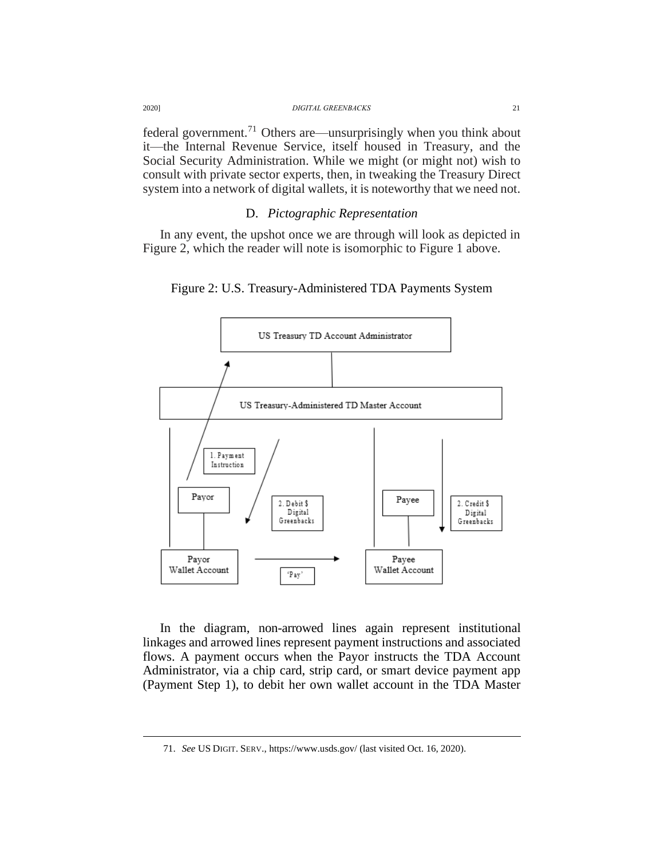| 20201 | <b>DIGITAL GREENBACKS</b>                                                        |  |
|-------|----------------------------------------------------------------------------------|--|
|       | federal government. <sup>71</sup> Others are—unsurprisingly when you think about |  |

it—the Internal Revenue Service, itself housed in Treasury, and the Social Security Administration. While we might (or might not) wish to consult with private sector experts, then, in tweaking the Treasury Direct system into a network of digital wallets, it is noteworthy that we need not.

### D. *Pictographic Representation*

In any event, the upshot once we are through will look as depicted in Figure 2, which the reader will note is isomorphic to Figure 1 above.





In the diagram, non-arrowed lines again represent institutional linkages and arrowed lines represent payment instructions and associated flows. A payment occurs when the Payor instructs the TDA Account Administrator, via a chip card, strip card, or smart device payment app (Payment Step 1), to debit her own wallet account in the TDA Master

<sup>71.</sup> *See* US DIGIT. SERV., https://www.usds.gov/ (last visited Oct. 16, 2020).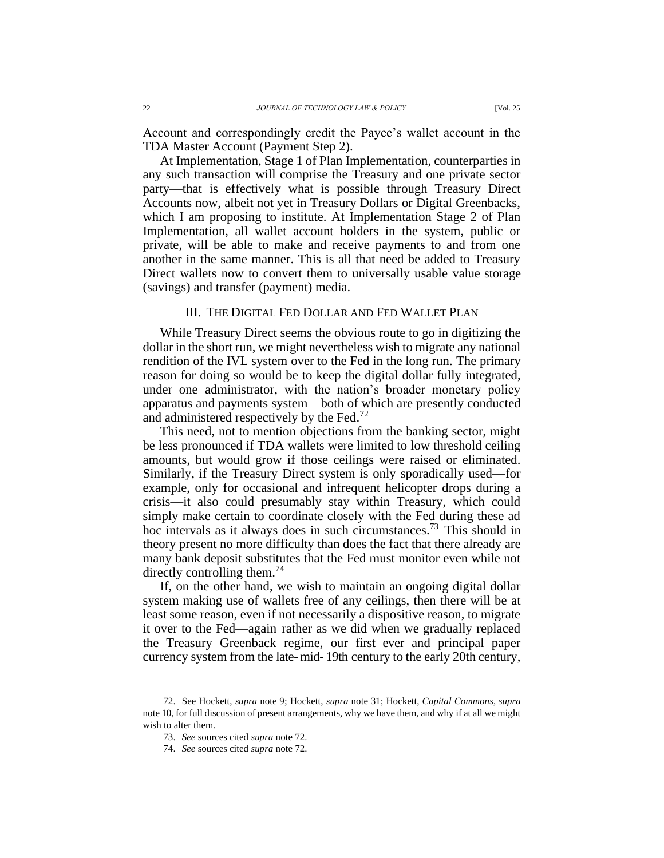Account and correspondingly credit the Payee's wallet account in the TDA Master Account (Payment Step 2).

At Implementation, Stage 1 of Plan Implementation, counterparties in any such transaction will comprise the Treasury and one private sector party—that is effectively what is possible through Treasury Direct Accounts now, albeit not yet in Treasury Dollars or Digital Greenbacks, which I am proposing to institute. At Implementation Stage 2 of Plan Implementation, all wallet account holders in the system, public or private, will be able to make and receive payments to and from one another in the same manner. This is all that need be added to Treasury Direct wallets now to convert them to universally usable value storage (savings) and transfer (payment) media.

#### III. THE DIGITAL FED DOLLAR AND FED WALLET PLAN

While Treasury Direct seems the obvious route to go in digitizing the dollar in the short run, we might nevertheless wish to migrate any national rendition of the IVL system over to the Fed in the long run. The primary reason for doing so would be to keep the digital dollar fully integrated, under one administrator, with the nation's broader monetary policy apparatus and payments system—both of which are presently conducted and administered respectively by the Fed.<sup>72</sup>

This need, not to mention objections from the banking sector, might be less pronounced if TDA wallets were limited to low threshold ceiling amounts, but would grow if those ceilings were raised or eliminated. Similarly, if the Treasury Direct system is only sporadically used—for example, only for occasional and infrequent helicopter drops during a crisis—it also could presumably stay within Treasury, which could simply make certain to coordinate closely with the Fed during these ad hoc intervals as it always does in such circumstances. <sup>73</sup> This should in theory present no more difficulty than does the fact that there already are many bank deposit substitutes that the Fed must monitor even while not directly controlling them.<sup>74</sup>

If, on the other hand, we wish to maintain an ongoing digital dollar system making use of wallets free of any ceilings, then there will be at least some reason, even if not necessarily a dispositive reason, to migrate it over to the Fed—again rather as we did when we gradually replaced the Treasury Greenback regime, our first ever and principal paper currency system from the late- mid- 19th century to the early 20th century,

<sup>72.</sup> See Hockett, *supra* note 9; Hockett, *supra* note 31; Hockett, *Capital Commons*, *supra* note 10, for full discussion of present arrangements, why we have them, and why if at all we might wish to alter them.

<sup>73.</sup> *See* sources cited *supra* note 72.

<sup>74.</sup> *See* sources cited *supra* note 72.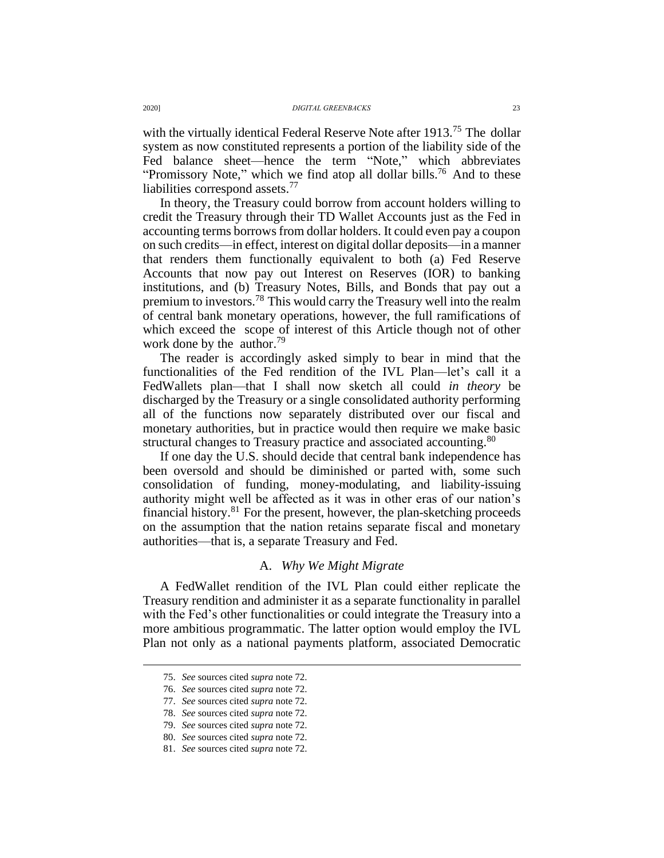with the virtually identical Federal Reserve Note after 1913.<sup>75</sup> The dollar system as now constituted represents a portion of the liability side of the Fed balance sheet—hence the term "Note," which abbreviates "Promissory Note," which we find atop all dollar bills.<sup>76</sup> And to these liabilities correspond assets. 77

In theory, the Treasury could borrow from account holders willing to credit the Treasury through their TD Wallet Accounts just as the Fed in accounting terms borrows from dollar holders. It could even pay a coupon on such credits—in effect, interest on digital dollar deposits—in a manner that renders them functionally equivalent to both (a) Fed Reserve Accounts that now pay out Interest on Reserves (IOR) to banking institutions, and (b) Treasury Notes, Bills, and Bonds that pay out a premium to investors.<sup>78</sup> This would carry the Treasury well into the realm of central bank monetary operations, however, the full ramifications of which exceed the scope of interest of this Article though not of other work done by the author.<sup>79</sup>

The reader is accordingly asked simply to bear in mind that the functionalities of the Fed rendition of the IVL Plan—let's call it a FedWallets plan—that I shall now sketch all could *in theory* be discharged by the Treasury or a single consolidated authority performing all of the functions now separately distributed over our fiscal and monetary authorities, but in practice would then require we make basic structural changes to Treasury practice and associated accounting.<sup>80</sup>

If one day the U.S. should decide that central bank independence has been oversold and should be diminished or parted with, some such consolidation of funding, money-modulating, and liability-issuing authority might well be affected as it was in other eras of our nation's financial history. $81$  For the present, however, the plan-sketching proceeds on the assumption that the nation retains separate fiscal and monetary authorities—that is, a separate Treasury and Fed.

### A. *Why We Might Migrate*

A FedWallet rendition of the IVL Plan could either replicate the Treasury rendition and administer it as a separate functionality in parallel with the Fed's other functionalities or could integrate the Treasury into a more ambitious programmatic. The latter option would employ the IVL Plan not only as a national payments platform, associated Democratic

<sup>75.</sup> *See* sources cited *supra* note 72.

<sup>76.</sup> *See* sources cited *supra* note 72.

<sup>77.</sup> *See* sources cited *supra* note 72.

<sup>78.</sup> *See* sources cited *supra* note 72.

<sup>79.</sup> *See* sources cited *supra* note 72.

<sup>80.</sup> *See* sources cited *supra* note 72.

<sup>81.</sup> *See* sources cited *supra* note 72.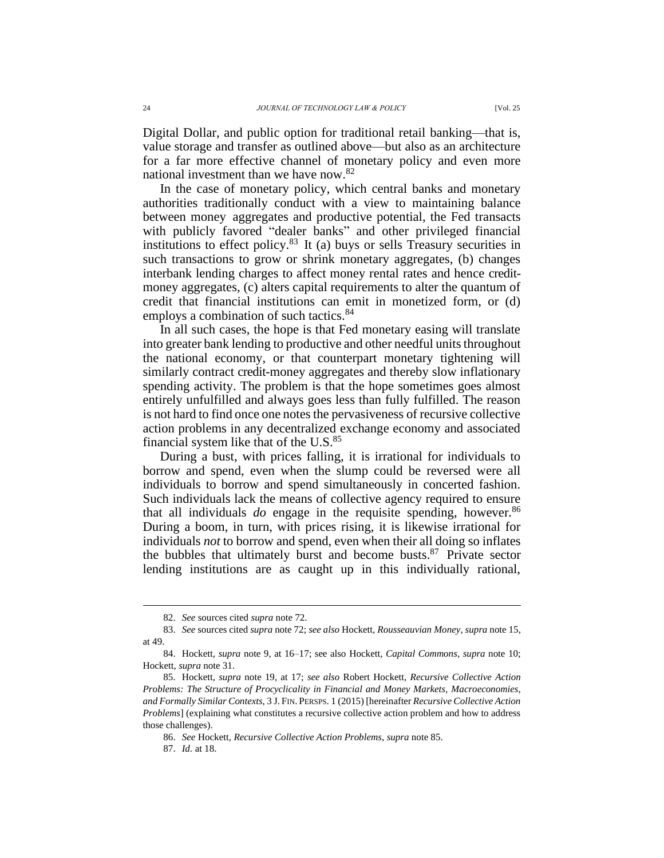Digital Dollar, and public option for traditional retail banking—that is, value storage and transfer as outlined above—but also as an architecture for a far more effective channel of monetary policy and even more national investment than we have now.<sup>82</sup>

In the case of monetary policy, which central banks and monetary authorities traditionally conduct with a view to maintaining balance between money aggregates and productive potential, the Fed transacts with publicly favored "dealer banks" and other privileged financial institutions to effect policy. <sup>83</sup> It (a) buys or sells Treasury securities in such transactions to grow or shrink monetary aggregates, (b) changes interbank lending charges to affect money rental rates and hence creditmoney aggregates, (c) alters capital requirements to alter the quantum of credit that financial institutions can emit in monetized form, or (d) employs a combination of such tactics.<sup>84</sup>

In all such cases, the hope is that Fed monetary easing will translate into greater bank lending to productive and other needful units throughout the national economy, or that counterpart monetary tightening will similarly contract credit-money aggregates and thereby slow inflationary spending activity. The problem is that the hope sometimes goes almost entirely unfulfilled and always goes less than fully fulfilled. The reason is not hard to find once one notes the pervasiveness of recursive collective action problems in any decentralized exchange economy and associated financial system like that of the U.S.<sup>85</sup>

During a bust, with prices falling, it is irrational for individuals to borrow and spend, even when the slump could be reversed were all individuals to borrow and spend simultaneously in concerted fashion. Such individuals lack the means of collective agency required to ensure that all individuals  $do$  engage in the requisite spending, however.<sup>86</sup> During a boom, in turn, with prices rising, it is likewise irrational for individuals *not* to borrow and spend, even when their all doing so inflates the bubbles that ultimately burst and become busts. <sup>87</sup> Private sector lending institutions are as caught up in this individually rational,

<sup>82.</sup> *See* sources cited *supra* note 72.

<sup>83.</sup> *See* sources cited *supra* note 72; *see also* Hockett, *Rousseauvian Money*, *supra* note 15, at 49.

<sup>84.</sup> Hockett, *supra* note 9, at 16–17; see also Hockett, *Capital Commons*, *supra* note 10; Hockett, *supra* note 31.

<sup>85.</sup> Hockett, *supra* note 19, at 17; *see also* Robert Hockett, *Recursive Collective Action Problems: The Structure of Procyclicality in Financial and Money Markets, Macroeconomies, and Formally Similar Contexts*, 3 J. FIN. PERSPS. 1 (2015) [hereinafter *Recursive Collective Action Problems*] (explaining what constitutes a recursive collective action problem and how to address those challenges).

<sup>86.</sup> *See* Hockett, *Recursive Collective Action Problems*, *supra* note 85.

<sup>87.</sup> *Id.* at 18.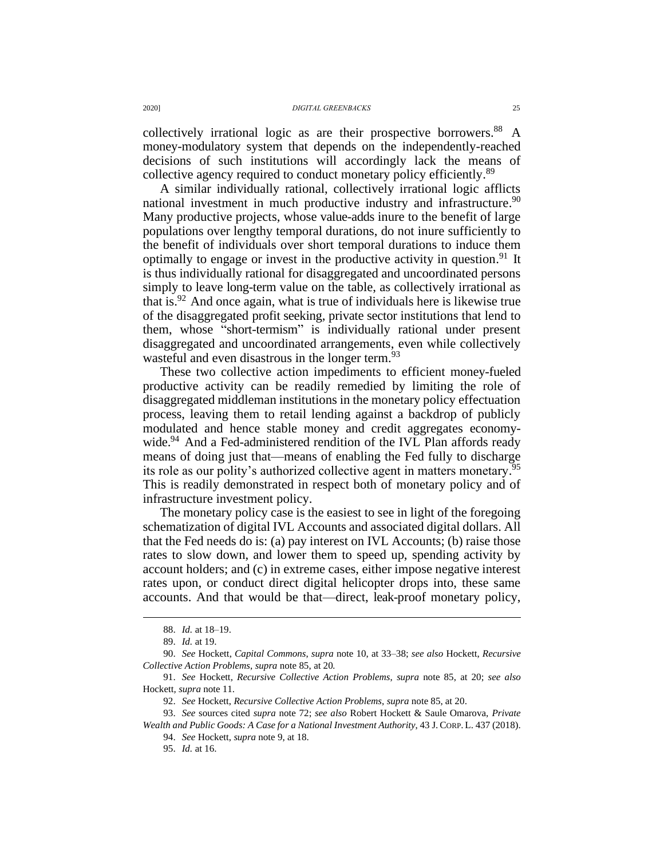collectively irrational logic as are their prospective borrowers. <sup>88</sup> A money-modulatory system that depends on the independently-reached decisions of such institutions will accordingly lack the means of collective agency required to conduct monetary policy efficiently.<sup>89</sup>

A similar individually rational, collectively irrational logic afflicts national investment in much productive industry and infrastructure.<sup>90</sup> Many productive projects, whose value-adds inure to the benefit of large populations over lengthy temporal durations, do not inure sufficiently to the benefit of individuals over short temporal durations to induce them optimally to engage or invest in the productive activity in question.<sup>91</sup> It is thus individually rational for disaggregated and uncoordinated persons simply to leave long-term value on the table, as collectively irrational as that is. <sup>92</sup> And once again, what is true of individuals here is likewise true of the disaggregated profit seeking, private sector institutions that lend to them, whose "short-termism" is individually rational under present disaggregated and uncoordinated arrangements, even while collectively wasteful and even disastrous in the longer term.<sup>93</sup>

These two collective action impediments to efficient money-fueled productive activity can be readily remedied by limiting the role of disaggregated middleman institutions in the monetary policy effectuation process, leaving them to retail lending against a backdrop of publicly modulated and hence stable money and credit aggregates economywide.<sup>94</sup> And a Fed-administered rendition of the IVL Plan affords ready means of doing just that—means of enabling the Fed fully to discharge its role as our polity's authorized collective agent in matters monetary.<sup>95</sup> This is readily demonstrated in respect both of monetary policy and of infrastructure investment policy.

The monetary policy case is the easiest to see in light of the foregoing schematization of digital IVL Accounts and associated digital dollars. All that the Fed needs do is: (a) pay interest on IVL Accounts; (b) raise those rates to slow down, and lower them to speed up, spending activity by account holders; and (c) in extreme cases, either impose negative interest rates upon, or conduct direct digital helicopter drops into, these same accounts. And that would be that—direct, leak-proof monetary policy,

<sup>88.</sup> *Id.* at 18–19.

<sup>89.</sup> *Id.* at 19.

<sup>90.</sup> *See* Hockett, *Capital Commons*, *supra* note 10, at 33–38; *see also* Hockett, *Recursive Collective Action Problems*, *supra* note 85, at 20*.*

<sup>91.</sup> *See* Hockett*, Recursive Collective Action Problems*, *supra* note 85, at 20; *see also*  Hockett*, supra* note 11.

<sup>92.</sup> *See* Hockett, *Recursive Collective Action Problems*, *supra* note 85, at 20.

<sup>93.</sup> *See* sources cited *supra* note 72; *see also* Robert Hockett & Saule Omarova, *Private Wealth and Public Goods: A Case for a National Investment Authority*, 43 J. CORP. L. 437 (2018).

<sup>94.</sup> *See* Hockett, *supra* note 9, at 18.

<sup>95.</sup> *Id.* at 16.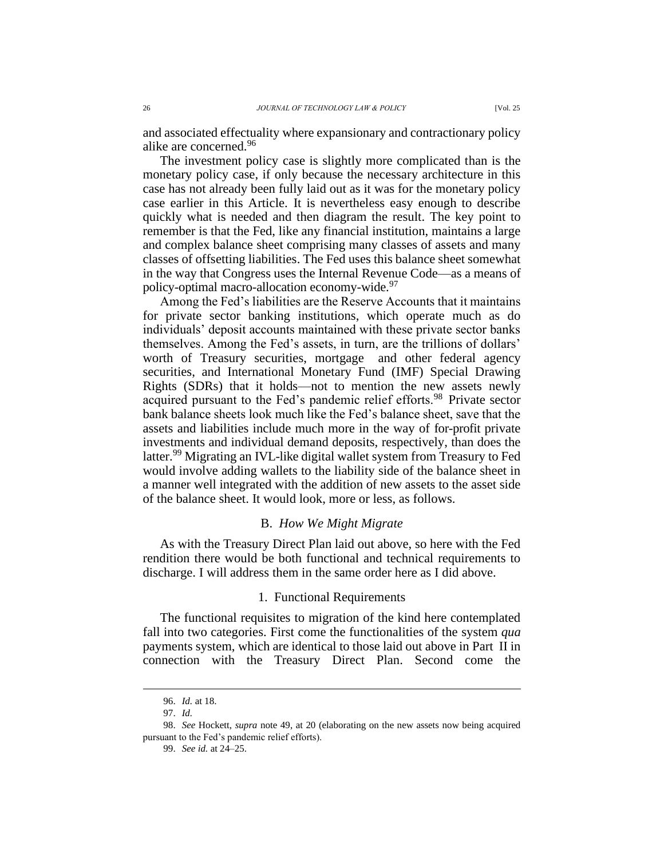and associated effectuality where expansionary and contractionary policy alike are concerned.<sup>96</sup>

The investment policy case is slightly more complicated than is the monetary policy case, if only because the necessary architecture in this case has not already been fully laid out as it was for the monetary policy case earlier in this Article. It is nevertheless easy enough to describe quickly what is needed and then diagram the result. The key point to remember is that the Fed, like any financial institution, maintains a large and complex balance sheet comprising many classes of assets and many classes of offsetting liabilities. The Fed uses this balance sheet somewhat in the way that Congress uses the Internal Revenue Code—as a means of policy-optimal macro-allocation economy-wide. 97

Among the Fed's liabilities are the Reserve Accounts that it maintains for private sector banking institutions, which operate much as do individuals' deposit accounts maintained with these private sector banks themselves. Among the Fed's assets, in turn, are the trillions of dollars' worth of Treasury securities, mortgage and other federal agency securities, and International Monetary Fund (IMF) Special Drawing Rights (SDRs) that it holds—not to mention the new assets newly acquired pursuant to the Fed's pandemic relief efforts.<sup>98</sup> Private sector bank balance sheets look much like the Fed's balance sheet, save that the assets and liabilities include much more in the way of for-profit private investments and individual demand deposits, respectively, than does the latter. <sup>99</sup> Migrating an IVL-like digital wallet system from Treasury to Fed would involve adding wallets to the liability side of the balance sheet in a manner well integrated with the addition of new assets to the asset side of the balance sheet. It would look, more or less, as follows.

#### B. *How We Might Migrate*

As with the Treasury Direct Plan laid out above, so here with the Fed rendition there would be both functional and technical requirements to discharge. I will address them in the same order here as I did above.

#### 1. Functional Requirements

The functional requisites to migration of the kind here contemplated fall into two categories. First come the functionalities of the system *qua* payments system, which are identical to those laid out above in Part II in connection with the Treasury Direct Plan. Second come the

<sup>96.</sup> *Id.* at 18.

<sup>97.</sup> *Id.*

<sup>98.</sup> *See* Hockett, *supra* note 49, at 20 (elaborating on the new assets now being acquired pursuant to the Fed's pandemic relief efforts).

<sup>99.</sup> *See id.* at 24–25.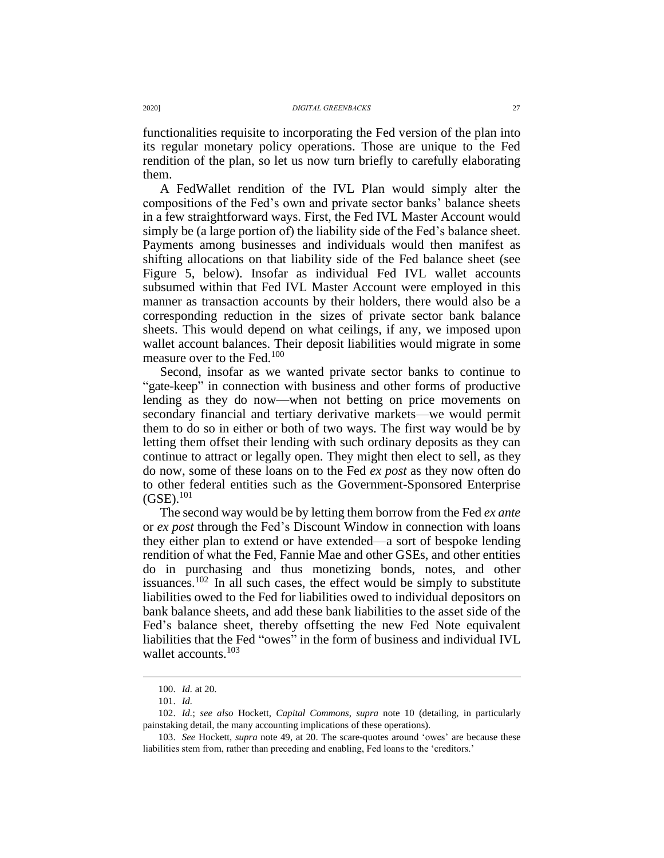functionalities requisite to incorporating the Fed version of the plan into its regular monetary policy operations. Those are unique to the Fed rendition of the plan, so let us now turn briefly to carefully elaborating them.

A FedWallet rendition of the IVL Plan would simply alter the compositions of the Fed's own and private sector banks' balance sheets in a few straightforward ways. First, the Fed IVL Master Account would simply be (a large portion of) the liability side of the Fed's balance sheet. Payments among businesses and individuals would then manifest as shifting allocations on that liability side of the Fed balance sheet (see Figure 5, below). Insofar as individual Fed IVL wallet accounts subsumed within that Fed IVL Master Account were employed in this manner as transaction accounts by their holders, there would also be a corresponding reduction in the sizes of private sector bank balance sheets. This would depend on what ceilings, if any, we imposed upon wallet account balances. Their deposit liabilities would migrate in some measure over to the Fed.<sup>100</sup>

Second, insofar as we wanted private sector banks to continue to "gate-keep" in connection with business and other forms of productive lending as they do now—when not betting on price movements on secondary financial and tertiary derivative markets—we would permit them to do so in either or both of two ways. The first way would be by letting them offset their lending with such ordinary deposits as they can continue to attract or legally open. They might then elect to sell, as they do now, some of these loans on to the Fed *ex post* as they now often do to other federal entities such as the Government-Sponsored Enterprise  $(GSE).^{101}$ 

The second way would be by letting them borrow from the Fed *ex ante* or *ex post* through the Fed's Discount Window in connection with loans they either plan to extend or have extended—a sort of bespoke lending rendition of what the Fed, Fannie Mae and other GSEs, and other entities do in purchasing and thus monetizing bonds, notes, and other issuances.<sup>102</sup> In all such cases, the effect would be simply to substitute liabilities owed to the Fed for liabilities owed to individual depositors on bank balance sheets, and add these bank liabilities to the asset side of the Fed's balance sheet, thereby offsetting the new Fed Note equivalent liabilities that the Fed "owes" in the form of business and individual IVL wallet accounts.<sup>103</sup>

<sup>100.</sup> *Id.* at 20.

<sup>101.</sup> *Id.*

<sup>102.</sup> *Id.*; *see also* Hockett, *Capital Commons*, *supra* note 10 (detailing, in particularly painstaking detail, the many accounting implications of these operations).

<sup>103.</sup> *See* Hockett, *supra* note 49, at 20. The scare-quotes around 'owes' are because these liabilities stem from, rather than preceding and enabling, Fed loans to the 'creditors.'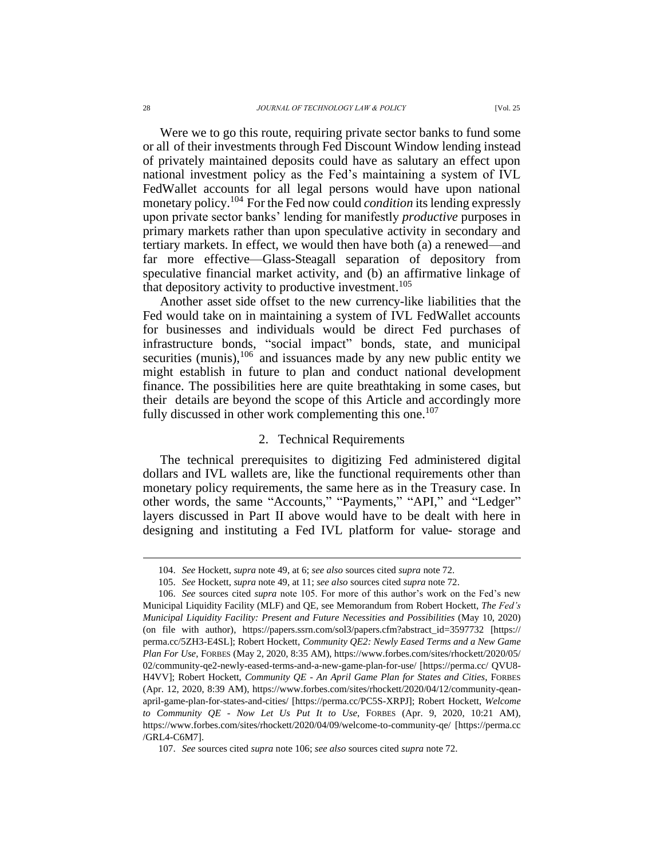Were we to go this route, requiring private sector banks to fund some or all of their investments through Fed Discount Window lending instead of privately maintained deposits could have as salutary an effect upon national investment policy as the Fed's maintaining a system of IVL FedWallet accounts for all legal persons would have upon national monetary policy. <sup>104</sup> For the Fed now could *condition* its lending expressly upon private sector banks' lending for manifestly *productive* purposes in primary markets rather than upon speculative activity in secondary and tertiary markets. In effect, we would then have both (a) a renewed—and far more effective—Glass-Steagall separation of depository from speculative financial market activity, and (b) an affirmative linkage of that depository activity to productive investment. 105

Another asset side offset to the new currency-like liabilities that the Fed would take on in maintaining a system of IVL FedWallet accounts for businesses and individuals would be direct Fed purchases of infrastructure bonds, "social impact" bonds, state, and municipal securities (munis), $106$  and issuances made by any new public entity we might establish in future to plan and conduct national development finance. The possibilities here are quite breathtaking in some cases, but their details are beyond the scope of this Article and accordingly more fully discussed in other work complementing this one.<sup>107</sup>

#### 2. Technical Requirements

The technical prerequisites to digitizing Fed administered digital dollars and IVL wallets are, like the functional requirements other than monetary policy requirements, the same here as in the Treasury case. In other words, the same "Accounts," "Payments," "API," and "Ledger" layers discussed in Part II above would have to be dealt with here in designing and instituting a Fed IVL platform for value- storage and

<sup>104.</sup> *See* Hockett, *supra* note 49, at 6; *see also* sources cited *supra* note 72.

<sup>105.</sup> *See* Hockett, *supra* note 49, at 11; *see also* sources cited *supra* note 72.

<sup>106.</sup> *See* sources cited *supra* note 105. For more of this author's work on the Fed's new Municipal Liquidity Facility (MLF) and QE, see Memorandum from Robert Hockett, *The Fed's Municipal Liquidity Facility: Present and Future Necessities and Possibilities* (May 10, 2020) (on file with author), https://papers.ssrn.com/sol3/papers.cfm?abstract\_id=3597732 [https:// perma.cc/5ZH3-E4SL]; Robert Hockett, *Community QE2: Newly Eased Terms and a New Game Plan For Use*, FORBES (May 2, 2020, 8:35 AM), https://www.forbes.com/sites/rhockett/2020/05/ 02/community-qe2-newly-eased-terms-and-a-new-game-plan-for-use/ [https://perma.cc/ QVU8- H4VV]; Robert Hockett, *Community QE - An April Game Plan for States and Cities*, FORBES (Apr. 12, 2020, 8:39 AM), https://www.forbes.com/sites/rhockett/2020/04/12/community-qeanapril-game-plan-for-states-and-cities/ [https://perma.cc/PC5S-XRPJ]; Robert Hockett, *Welcome to Community QE - Now Let Us Put It to Use*, FORBES (Apr. 9, 2020, 10:21 AM), https://www.forbes.com/sites/rhockett/2020/04/09/welcome-to-community-qe/ [https://perma.cc /GRL4-C6M7].

<sup>107.</sup> *See* sources cited *supra* note 106; *see also* sources cited *supra* note 72.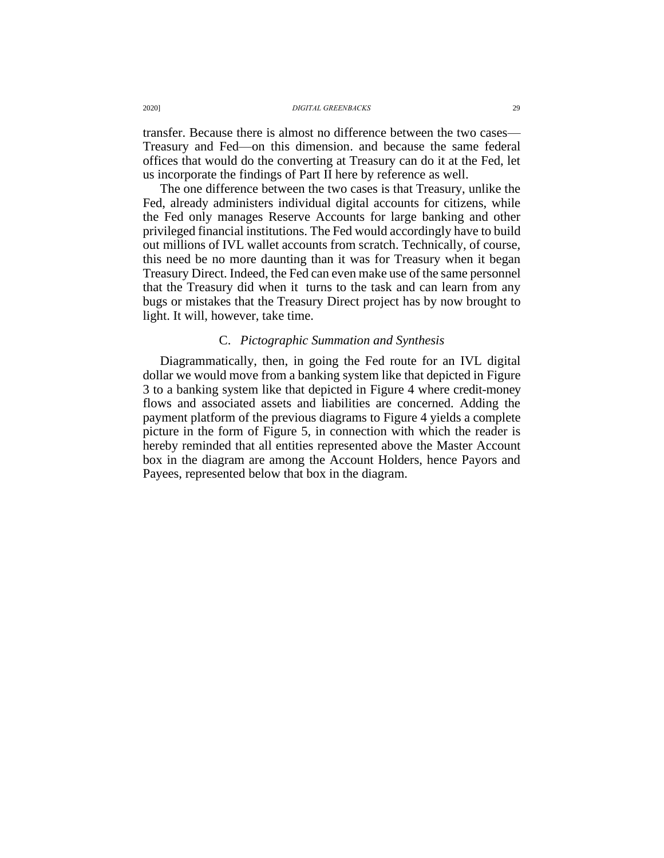transfer. Because there is almost no difference between the two cases— Treasury and Fed—on this dimension. and because the same federal offices that would do the converting at Treasury can do it at the Fed, let us incorporate the findings of Part II here by reference as well.

The one difference between the two cases is that Treasury, unlike the Fed, already administers individual digital accounts for citizens, while the Fed only manages Reserve Accounts for large banking and other privileged financial institutions. The Fed would accordingly have to build out millions of IVL wallet accounts from scratch. Technically, of course, this need be no more daunting than it was for Treasury when it began Treasury Direct. Indeed, the Fed can even make use of the same personnel that the Treasury did when it turns to the task and can learn from any bugs or mistakes that the Treasury Direct project has by now brought to light. It will, however, take time.

### C. *Pictographic Summation and Synthesis*

Diagrammatically, then, in going the Fed route for an IVL digital dollar we would move from a banking system like that depicted in Figure 3 to a banking system like that depicted in Figure 4 where credit-money flows and associated assets and liabilities are concerned. Adding the payment platform of the previous diagrams to Figure 4 yields a complete picture in the form of Figure 5, in connection with which the reader is hereby reminded that all entities represented above the Master Account box in the diagram are among the Account Holders, hence Payors and Payees, represented below that box in the diagram.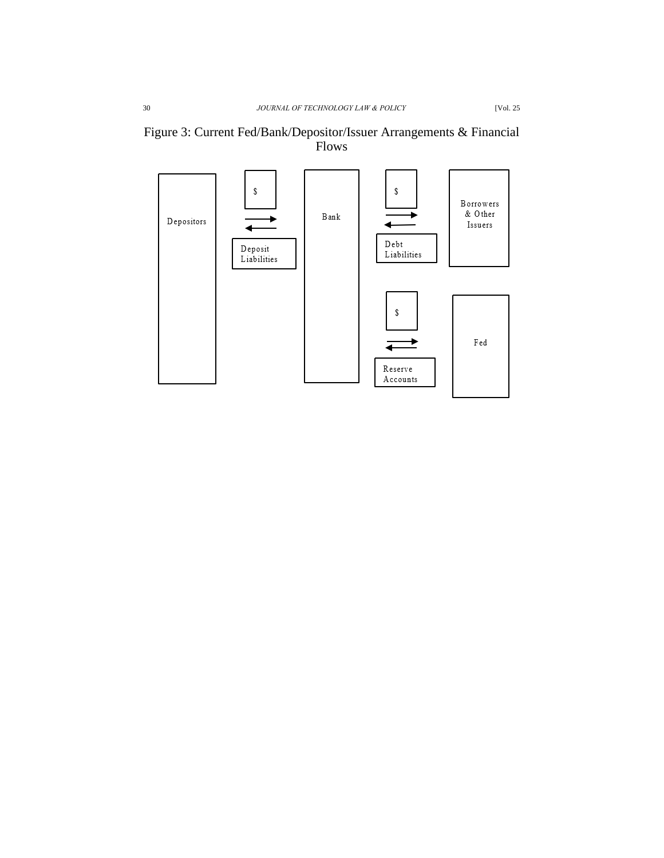

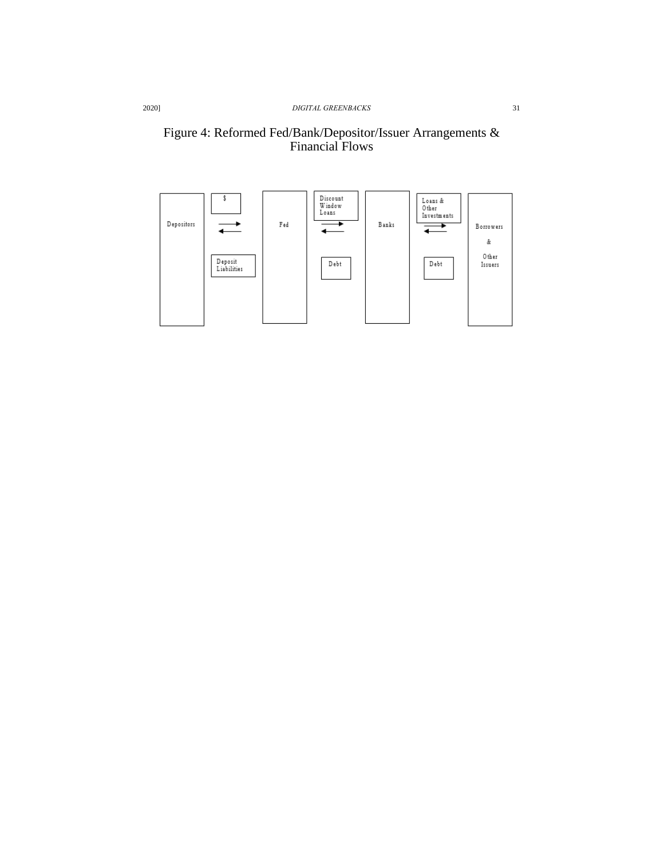### Figure 4: Reformed Fed/Bank/Depositor/Issuer Arrangements & Financial Flows

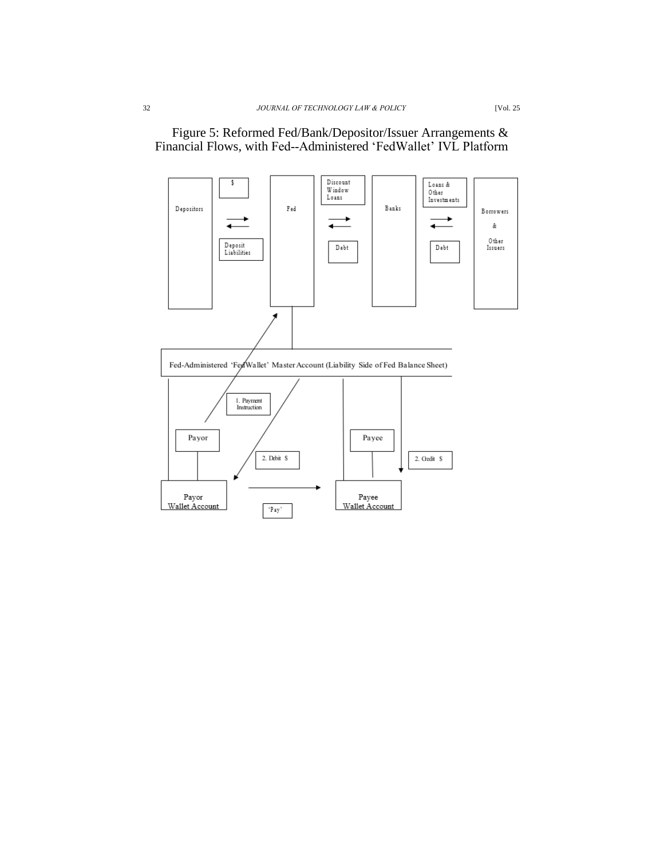

## Figure 5: Reformed Fed/Bank/Depositor/Issuer Arrangements & Financial Flows, with Fed‐Administered 'FedWallet' IVL Platform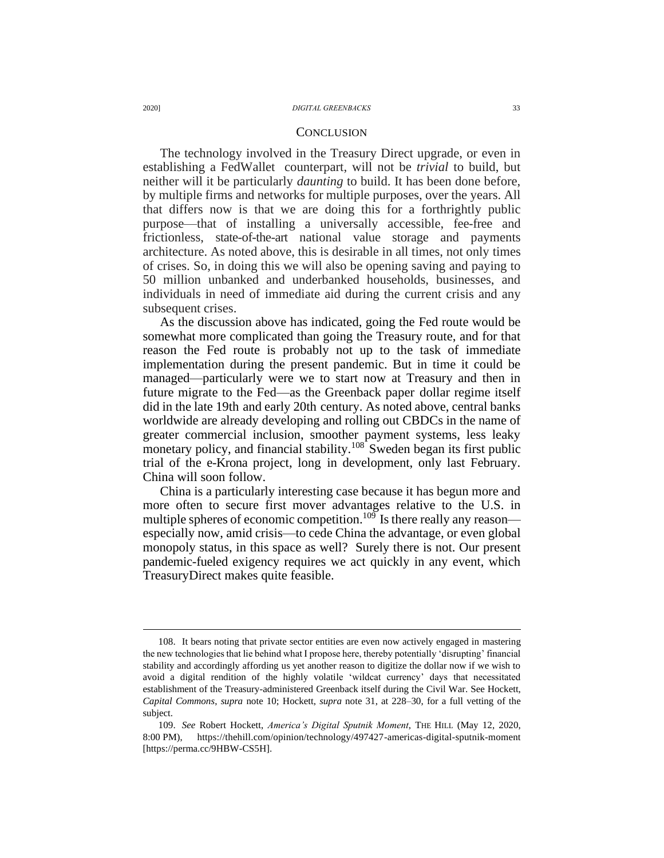#### **CONCLUSION**

The technology involved in the Treasury Direct upgrade, or even in establishing a FedWallet counterpart, will not be *trivial* to build, but neither will it be particularly *daunting* to build. It has been done before, by multiple firms and networks for multiple purposes, over the years. All that differs now is that we are doing this for a forthrightly public purpose—that of installing a universally accessible, fee-free and frictionless, state-of-the-art national value storage and payments architecture. As noted above, this is desirable in all times, not only times of crises. So, in doing this we will also be opening saving and paying to 50 million unbanked and underbanked households, businesses, and individuals in need of immediate aid during the current crisis and any subsequent crises.

As the discussion above has indicated, going the Fed route would be somewhat more complicated than going the Treasury route, and for that reason the Fed route is probably not up to the task of immediate implementation during the present pandemic. But in time it could be managed—particularly were we to start now at Treasury and then in future migrate to the Fed—as the Greenback paper dollar regime itself did in the late 19th and early 20th century. As noted above, central banks worldwide are already developing and rolling out CBDCs in the name of greater commercial inclusion, smoother payment systems, less leaky monetary policy, and financial stability.<sup>108</sup> Sweden began its first public trial of the e-Krona project, long in development, only last February. China will soon follow.

China is a particularly interesting case because it has begun more and more often to secure first mover advantages relative to the U.S. in multiple spheres of economic competition.<sup>109</sup> Is there really any reason especially now, amid crisis—to cede China the advantage, or even global monopoly status, in this space as well? Surely there is not. Our present pandemic-fueled exigency requires we act quickly in any event, which TreasuryDirect makes quite feasible.

<sup>108.</sup> It bears noting that private sector entities are even now actively engaged in mastering the new technologies that lie behind what I propose here, thereby potentially 'disrupting' financial stability and accordingly affording us yet another reason to digitize the dollar now if we wish to avoid a digital rendition of the highly volatile 'wildcat currency' days that necessitated establishment of the Treasury-administered Greenback itself during the Civil War. See Hockett, *Capital Commons*, *supra* note 10; Hockett, *supra* note 31, at 228–30, for a full vetting of the subject.

<sup>109.</sup> *See* Robert Hockett, *America's Digital Sputnik Moment*, THE HILL (May 12, 2020, 8:00 PM), https://thehill.com/opinion/technology/497427-americas-digital-sputnik-moment [https://perma.cc/9HBW-CS5H].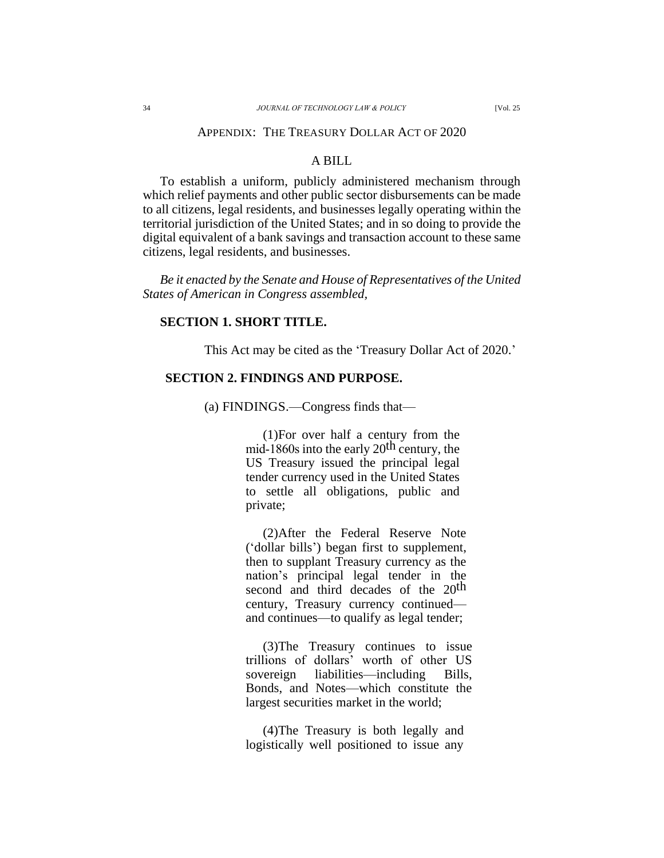### A BILL

To establish a uniform, publicly administered mechanism through which relief payments and other public sector disbursements can be made to all citizens, legal residents, and businesses legally operating within the territorial jurisdiction of the United States; and in so doing to provide the digital equivalent of a bank savings and transaction account to these same citizens, legal residents, and businesses.

*Be it enacted by the Senate and House of Representatives of the United States of American in Congress assembled,*

#### **SECTION 1. SHORT TITLE.**

This Act may be cited as the 'Treasury Dollar Act of 2020.'

#### **SECTION 2. FINDINGS AND PURPOSE.**

(a) FINDINGS.—Congress finds that—

(1)For over half a century from the mid-1860s into the early  $20<sup>th</sup>$  century, the US Treasury issued the principal legal tender currency used in the United States to settle all obligations, public and private;

(2)After the Federal Reserve Note ('dollar bills') began first to supplement, then to supplant Treasury currency as the nation's principal legal tender in the second and third decades of the 20<sup>th</sup> century, Treasury currency continued and continues—to qualify as legal tender;

(3)The Treasury continues to issue trillions of dollars' worth of other US sovereign liabilities—including Bills, Bonds, and Notes—which constitute the largest securities market in the world;

(4)The Treasury is both legally and logistically well positioned to issue any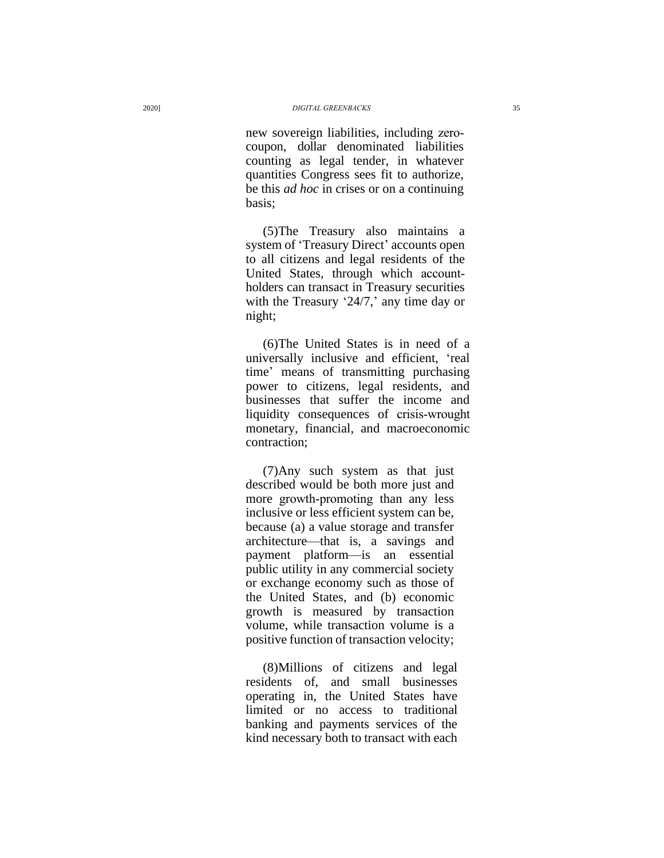new sovereign liabilities, including zero‐ coupon, dollar denominated liabilities counting as legal tender, in whatever quantities Congress sees fit to authorize, be this *ad hoc* in crises or on a continuing basis;

(5)The Treasury also maintains a system of 'Treasury Direct ' accounts open to all citizens and legal residents of the United States, through which account‐ holders can t ransact in Treasury securities with the Treasury '24/7,' any time day or night;

(6)The United States is in need of a universally inclusive and effici ent, 'real time ' means of transmitting purchasing power to citizens, legal residents, and businesses that suffer the income and liquidity consequences of crisis‐wrought monetary, financial, and macroeconomic contraction;

(7 )Any such system as that just described would be both more just and more growth‐promoting than any less inclusive or less efficient system can be, because (a) a value storage and transfer architecture —that is, a savings and payment platform—is an essential public utility in any commercial society or exchange economy such as those of the United States, and (b) economic growth is measured by transaction volume, while transaction volume is a positive function of transaction velocity;

(8)Millions of citizens and legal residents of, and small businesses operating in, the United States have limited or no access to traditional banking and payments services of the kind necessary both to transact with each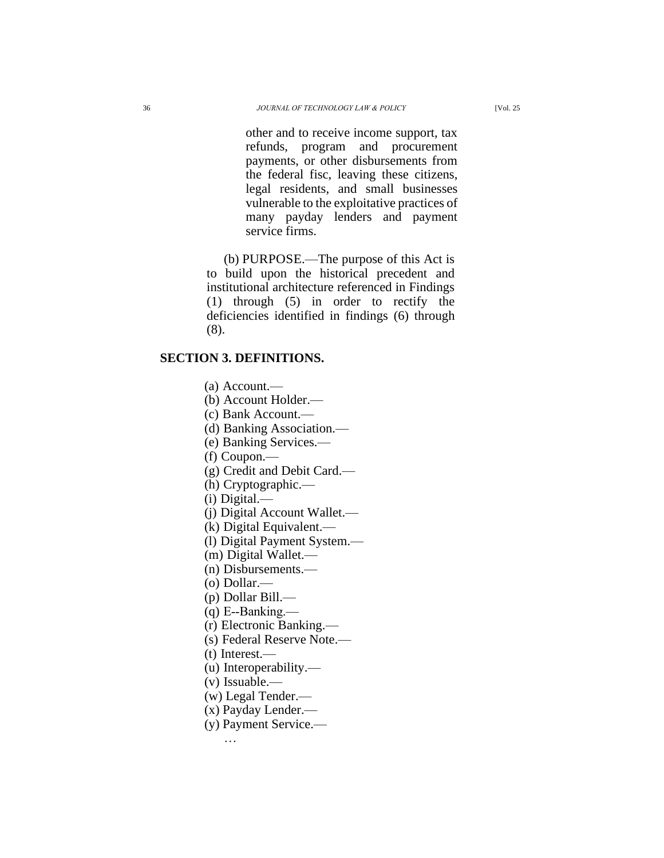other and to receive income support, tax refunds, program and procurement payments, or other disbursements from the federal fisc, leaving these citizens, legal residents, and small businesses vulnerable to the exploitative practices of many payday lenders and payment service firms.

(b) PURPOSE.—The purpose of this Act is to build upon the historical precedent and institutional architecture referenced in Findings (1) through (5) in order to rectify the deficiencies identified in findings (6) through (8).

### **SECTION 3. DEFINITIONS.**

(a) Account.—

(b) Account Holder.—

(c) Bank Account.—

(d) Banking Association.—

(e) Banking Services.—

(f) Coupon.—

(g) Credit and Debit Card.—

(h) Cryptographic.—

(i) Digital.—

(j) Digital Account Wallet.—

(k) Digital Equivalent.—

(l) Digital Payment System.—

(m) Digital Wallet.—

(n) Disbursements.—

(o) Dollar.—

(p) Dollar Bill.—

 $(q)$  E--Banking.—

(r) Electronic Banking.—

(s) Federal Reserve Note.—

(t) Interest.—

(u) Interoperability.—

(v) Issuable.—

(w) Legal Tender.—

(x) Payday Lender.—

(y) Payment Service.—

…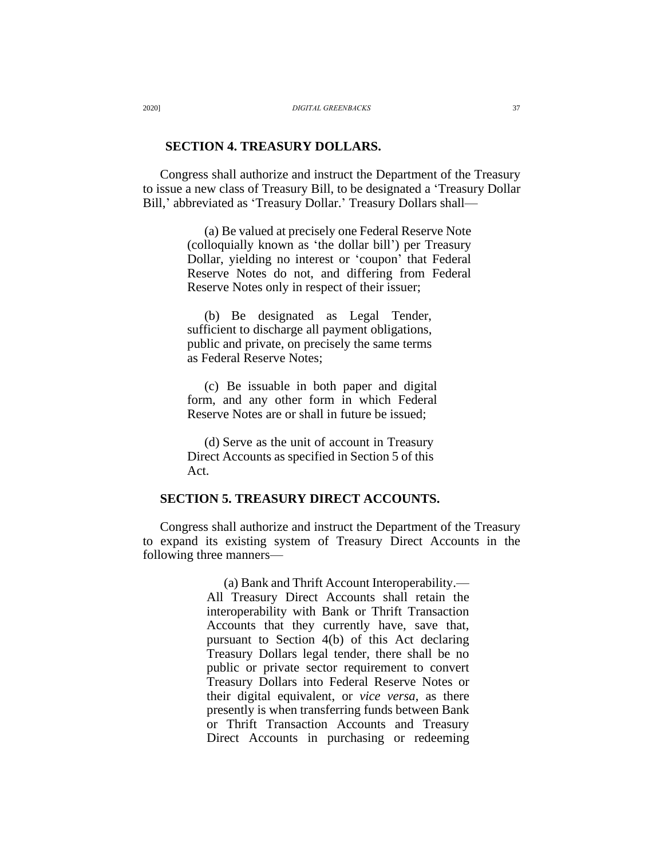#### **SECTION 4. TREASURY DOLLARS.**

Congress shall authorize and instruct the Department of the Treasury to issue a new class of Treasury Bill, to be designated a 'Treasury Dollar Bill,' abbreviated as 'Treasury Dollar.' Treasury Dollars shall—

> (a) Be valued at precisely one Federal Reserve Note (colloquially known as 'the dollar bill') per Treasury Dollar, yielding no interest or 'coupon' that Federal Reserve Notes do not, and differing from Federal Reserve Notes only in respect of their issuer;

(b) Be designated as Legal Tender, sufficient to discharge all payment obligations, public and private, on precisely the same terms as Federal Reserve Notes;

(c) Be issuable in both paper and digital form, and any other form in which Federal Reserve Notes are or shall in future be issued;

(d) Serve as the unit of account in Treasury Direct Accounts as specified in Section 5 of this Act.

### **SECTION 5. TREASURY DIRECT ACCOUNTS.**

Congress shall authorize and instruct the Department of the Treasury to expand its existing system of Treasury Direct Accounts in the following three manners—

> (a) Bank and Thrift Account Interoperability.— All Treasury Direct Accounts shall retain the interoperability with Bank or Thrift Transaction Accounts that they currently have, save that, pursuant to Section 4(b) of this Act declaring Treasury Dollars legal tender, there shall be no public or private sector requirement to convert Treasury Dollars into Federal Reserve Notes or their digital equivalent, or *vice versa*, as there presently is when transferring funds between Bank or Thrift Transaction Accounts and Treasury Direct Accounts in purchasing or redeeming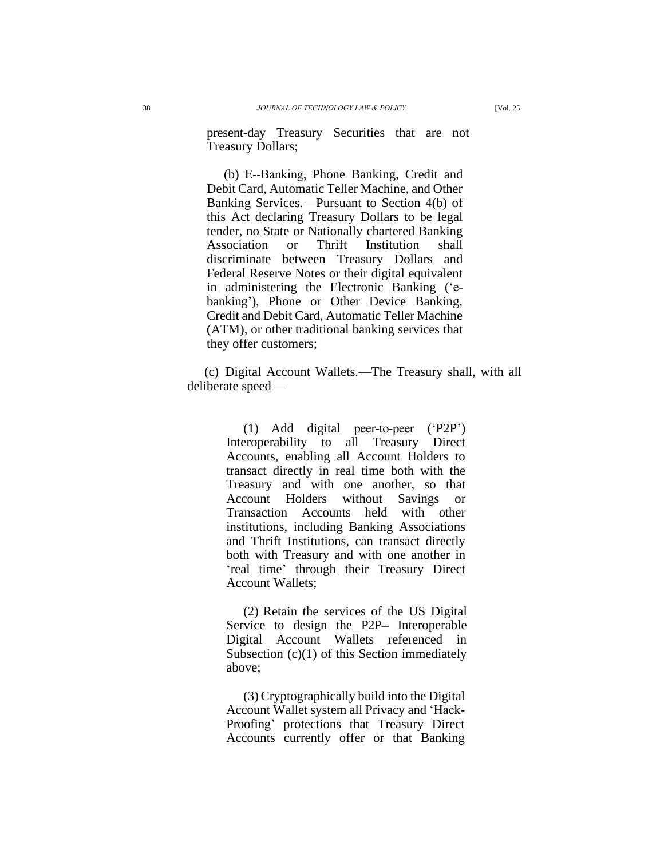present-day Treasury Securities that are not Treasury Dollars;

(b) E‐Banking, Phone Banking, Credit and Debit Card, Automatic Teller Machine, and Other Banking Services.—Pursuant to Section 4(b) of this Act declaring Treasury Dollars to be legal tender, no State or Nationally chartered Banking Association or Thrift Institution shall discriminate between Treasury Dollars and Federal Reserve Notes or their digital equivalent in administering the Electronic Banking ('ebanking'), Phone or Other Device Banking, Credit and Debit Card, Automatic Teller Machine (ATM), or other traditional banking services that they offer customers;

(c) Digital Account Wallets.—The Treasury shall, with all deliberate speed—

> (1) Add digital peer-to-peer ('P2P') Interoperability to all Treasury Direct Accounts, enabling all Account Holders to transact directly in real time both with the Treasury and with one another, so that Account Holders without Savings or Transaction Accounts held with other institutions, including Banking Associations and Thrift Institutions, can transact directly both with Treasury and with one another in 'real time' through their Treasury Direct Account Wallets;

> (2) Retain the services of the US Digital Service to design the P2P-- Interoperable Digital Account Wallets referenced in Subsection (c)(1) of this Section immediately above;

> (3)Cryptographically build into the Digital Account Wallet system all Privacy and 'Hack‐ Proofing' protections that Treasury Direct Accounts currently offer or that Banking